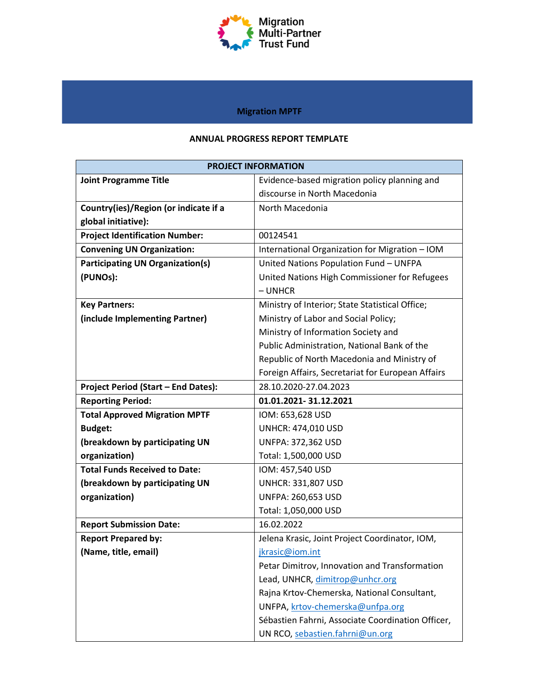

## **Migration MPTF**

### **ANNUAL PROGRESS REPORT TEMPLATE**

|                                            | <b>PROJECT INFORMATION</b>                        |
|--------------------------------------------|---------------------------------------------------|
| <b>Joint Programme Title</b>               | Evidence-based migration policy planning and      |
|                                            | discourse in North Macedonia                      |
| Country(ies)/Region (or indicate if a      | North Macedonia                                   |
| global initiative):                        |                                                   |
| <b>Project Identification Number:</b>      | 00124541                                          |
| <b>Convening UN Organization:</b>          | International Organization for Migration - IOM    |
| <b>Participating UN Organization(s)</b>    | United Nations Population Fund - UNFPA            |
| (PUNOs):                                   | United Nations High Commissioner for Refugees     |
|                                            | $-$ UNHCR                                         |
| <b>Key Partners:</b>                       | Ministry of Interior; State Statistical Office;   |
| (include Implementing Partner)             | Ministry of Labor and Social Policy;              |
|                                            | Ministry of Information Society and               |
|                                            | Public Administration, National Bank of the       |
|                                            | Republic of North Macedonia and Ministry of       |
|                                            | Foreign Affairs, Secretariat for European Affairs |
| <b>Project Period (Start - End Dates):</b> | 28.10.2020-27.04.2023                             |
| <b>Reporting Period:</b>                   | 01.01.2021-31.12.2021                             |
| <b>Total Approved Migration MPTF</b>       | IOM: 653,628 USD                                  |
| <b>Budget:</b>                             | <b>UNHCR: 474,010 USD</b>                         |
| (breakdown by participating UN             | <b>UNFPA: 372,362 USD</b>                         |
| organization)                              | Total: 1,500,000 USD                              |
| <b>Total Funds Received to Date:</b>       | IOM: 457,540 USD                                  |
| (breakdown by participating UN             | <b>UNHCR: 331,807 USD</b>                         |
| organization)                              | UNFPA: 260,653 USD                                |
|                                            | Total: 1,050,000 USD                              |
| <b>Report Submission Date:</b>             | 16.02.2022                                        |
| <b>Report Prepared by:</b>                 | Jelena Krasic, Joint Project Coordinator, IOM,    |
| (Name, title, email)                       | jkrasic@iom.int                                   |
|                                            | Petar Dimitrov, Innovation and Transformation     |
|                                            | Lead, UNHCR, dimitrop@unhcr.org                   |
|                                            | Rajna Krtov-Chemerska, National Consultant,       |
|                                            | UNFPA, krtov-chemerska@unfpa.org                  |
|                                            | Sébastien Fahrni, Associate Coordination Officer, |
|                                            | UN RCO, sebastien.fahrni@un.org                   |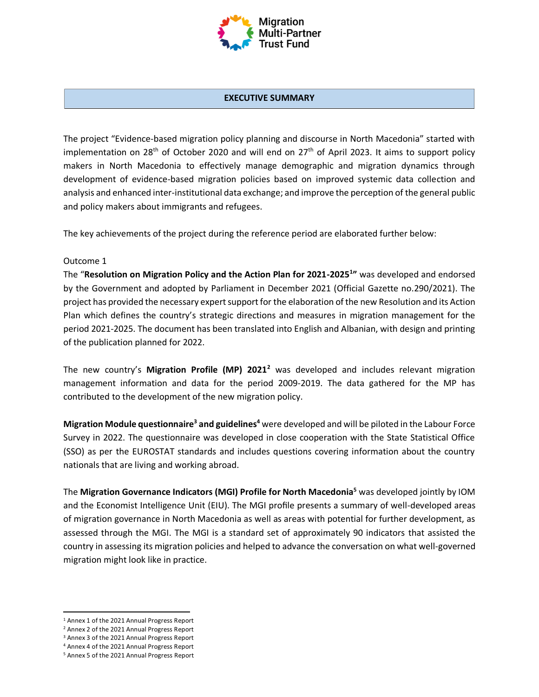

#### **EXECUTIVE SUMMARY**

The project "Evidence-based migration policy planning and discourse in North Macedonia" started with implementation on 28<sup>th</sup> of October 2020 and will end on  $27<sup>th</sup>$  of April 2023. It aims to support policy makers in North Macedonia to effectively manage demographic and migration dynamics through development of evidence-based migration policies based on improved systemic data collection and analysis and enhanced inter-institutional data exchange; and improve the perception of the general public and policy makers about immigrants and refugees.

The key achievements of the project during the reference period are elaborated further below:

#### Outcome 1

The "**Resolution on Migration Policy and the Action Plan for 2021-2025<sup>1</sup> "** was developed and endorsed by the Government and adopted by Parliament in December 2021 (Official Gazette no.290/2021). The project has provided the necessary expert support for the elaboration of the new Resolution and its Action Plan which defines the country's strategic directions and measures in migration management for the period 2021-2025. The document has been translated into English and Albanian, with design and printing of the publication planned for 2022.

The new country's **Migration Profile (MP) 2021<sup>2</sup>** was developed and includes relevant migration management information and data for the period 2009-2019. The data gathered for the MP has contributed to the development of the new migration policy.

**Migration Module questionnaire<sup>3</sup> and guidelines<sup>4</sup>** were developed and will be piloted in the Labour Force Survey in 2022. The questionnaire was developed in close cooperation with the State Statistical Office (SSO) as per the EUROSTAT standards and includes questions covering information about the country nationals that are living and working abroad.

The **Migration Governance Indicators (MGI) Profile for North Macedonia<sup>5</sup>** was developed jointly by IOM and the Economist Intelligence Unit (EIU). The MGI profile presents a summary of well-developed areas of migration governance in North Macedonia as well as areas with potential for further development, as assessed through the MGI. The MGI is a standard set of approximately 90 indicators that assisted the country in assessing its migration policies and helped to advance the conversation on what well-governed migration might look like in practice.

<sup>1</sup> Annex 1 of the 2021 Annual Progress Report

<sup>2</sup> Annex 2 of the 2021 Annual Progress Report

<sup>&</sup>lt;sup>3</sup> Annex 3 of the 2021 Annual Progress Report

<sup>4</sup> Annex 4 of the 2021 Annual Progress Report

<sup>5</sup> Annex 5 of the 2021 Annual Progress Report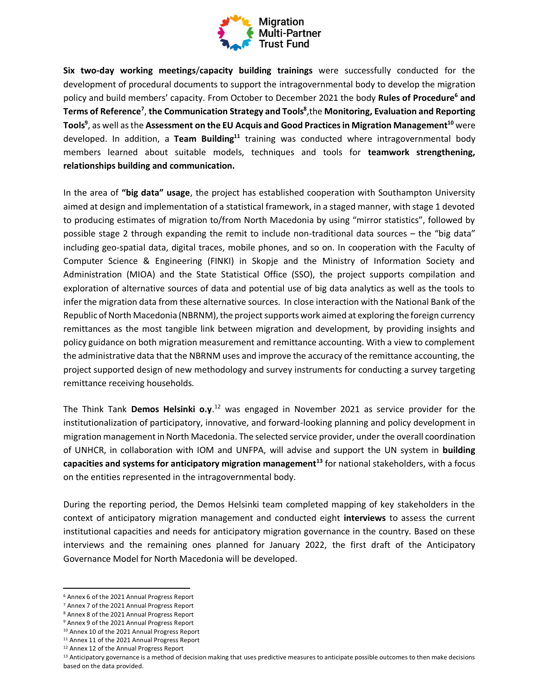

**Six two-day working meetings**/**capacity building trainings** were successfully conducted for the development of procedural documents to support the intragovernmental body to develop the migration policy and build members' capacity. From October to December 2021 the body **Rules of Procedure<sup>6</sup> and Terms of Reference<sup>7</sup>** , **the Communication Strategy and Tools<sup>8</sup>** ,the **Monitoring, Evaluation and Reporting Tools<sup>9</sup>** , as well as the **Assessment on the EU Acquis and Good Practices in Migration Management<sup>10</sup>** were developed. In addition, a **Team Building<sup>11</sup>** training was conducted where intragovernmental body members learned about suitable models, techniques and tools for **teamwork strengthening, relationships building and communication.** 

In the area of **"big data" usage**, the project has established cooperation with Southampton University aimed at design and implementation of a statistical framework, in a staged manner, with stage 1 devoted to producing estimates of migration to/from North Macedonia by using "mirror statistics", followed by possible stage 2 through expanding the remit to include non-traditional data sources – the "big data" including geo-spatial data, digital traces, mobile phones, and so on. In cooperation with the Faculty of Computer Science & Engineering (FINKI) in Skopje and the Ministry of Information Society and Administration (MIOA) and the State Statistical Office (SSO), the project supports compilation and exploration of alternative sources of data and potential use of big data analytics as well as the tools to infer the migration data from these alternative sources. In close interaction with the National Bank of the Republic of North Macedonia (NBRNM), the project supports work aimed at exploring the foreign currency remittances as the most tangible link between migration and development, by providing insights and policy guidance on both migration measurement and remittance accounting. With a view to complement the administrative data that the NBRNM uses and improve the accuracy of the remittance accounting, the project supported design of new methodology and survey instruments for conducting a survey targeting remittance receiving households.

The Think Tank **Demos Helsinki o.y**. <sup>12</sup> was engaged in November 2021 as service provider for the institutionalization of participatory, innovative, and forward-looking planning and policy development in migration management in North Macedonia. The selected service provider, under the overall coordination of UNHCR, in collaboration with IOM and UNFPA, will advise and support the UN system in **building capacities and systems for anticipatory migration management<sup>13</sup>** for national stakeholders, with a focus on the entities represented in the intragovernmental body.

During the reporting period, the Demos Helsinki team completed mapping of key stakeholders in the context of anticipatory migration management and conducted eight **interviews** to assess the current institutional capacities and needs for anticipatory migration governance in the country. Based on these interviews and the remaining ones planned for January 2022, the first draft of the Anticipatory Governance Model for North Macedonia will be developed.

- <sup>11</sup> Annex 11 of the 2021 Annual Progress Report
- <sup>12</sup> Annex 12 of the Annual Progress Report

<sup>6</sup> Annex 6 of the 2021 Annual Progress Report

<sup>7</sup> Annex 7 of the 2021 Annual Progress Report

<sup>8</sup> Annex 8 of the 2021 Annual Progress Report

<sup>9</sup> Annex 9 of the 2021 Annual Progress Report

<sup>10</sup> Annex 10 of the 2021 Annual Progress Report

<sup>&</sup>lt;sup>13</sup> Anticipatory governance is a method of decision making that uses predictive measures to anticipate possible outcomes to then make decisions based on the data provided.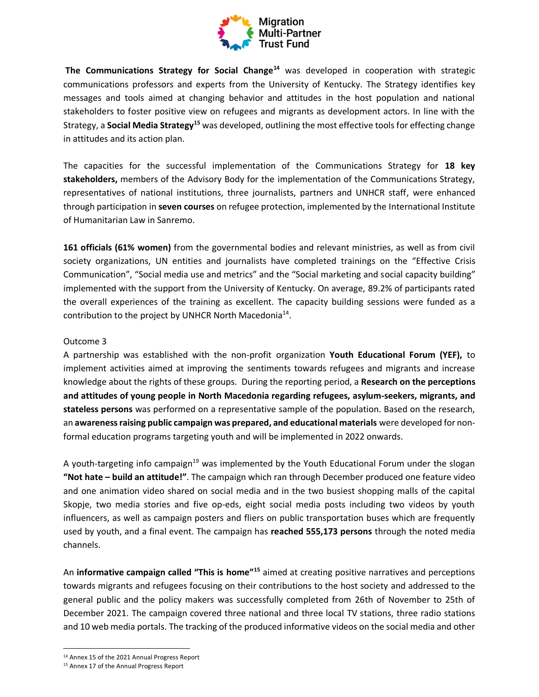

**The Communications Strategy for Social Change<sup>14</sup>** was developed in cooperation with strategic communications professors and experts from the University of Kentucky. The Strategy identifies key messages and tools aimed at changing behavior and attitudes in the host population and national stakeholders to foster positive view on refugees and migrants as development actors. In line with the Strategy, a **Social Media Strategy<sup>15</sup>** was developed, outlining the most effective tools for effecting change in attitudes and its action plan.

The capacities for the successful implementation of the Communications Strategy for **18 key stakeholders,** members of the Advisory Body for the implementation of the Communications Strategy, representatives of national institutions, three journalists, partners and UNHCR staff, were enhanced through participation in **seven courses** on refugee protection, implemented by the [International Institute](https://iihl.org/)  [of Humanitarian Law in Sanremo.](https://iihl.org/)

**161 officials (61% women)** from the governmental bodies and relevant ministries, as well as from civil society organizations, UN entities and journalists have completed trainings on the "Effective Crisis Communication", "Social media use and metrics" and the "Social marketing and social capacity building" implemented with the support from the University of Kentucky. On average, 89.2% of participants rated the overall experiences of the training as excellent. The capacity building sessions were funded as a contribution to the project by UNHCR North Macedonia<sup>14</sup>.

#### Outcome 3

A partnership was established with the non-profit organization **Youth Educational Forum (YEF),** to implement activities aimed at improving the sentiments towards refugees and migrants and increase knowledge about the rights of these groups. During the reporting period, a **Research on the perceptions and attitudes of young people in North Macedonia regarding refugees, asylum-seekers, migrants, and stateless persons** was performed on a representative sample of the population. Based on the research, an **awareness raising public campaign was prepared, and educational materials** were developed for nonformal education programs targeting youth and will be implemented in 2022 onwards.

A youth-targeting info campaign<sup>19</sup> was implemented by the Youth Educational Forum under the slogan **"Not hate – build an attitude!"**. The campaign which ran through December produced one feature video and one animation video shared on social media and in the two busiest shopping malls of the capital Skopje, two media stories and five op-eds, eight social media posts including two videos by youth influencers, as well as campaign posters and fliers on public transportation buses which are frequently used by youth, and a final event. The campaign has **reached 555,173 persons** through the noted media channels.

An **informative campaign called "This is home"<sup>15</sup> aimed at creating positive narratives and perceptions** towards migrants and refugees focusing on their contributions to the host society and addressed to the general public and the policy makers was successfully completed from 26th of November to 25th of December 2021. The campaign covered three national and three local TV stations, three radio stations and 10 web media portals. The tracking of the produced informative videos on the social media and other

<sup>14</sup> Annex 15 of the 2021 Annual Progress Report

<sup>15</sup> Annex 17 of the Annual Progress Report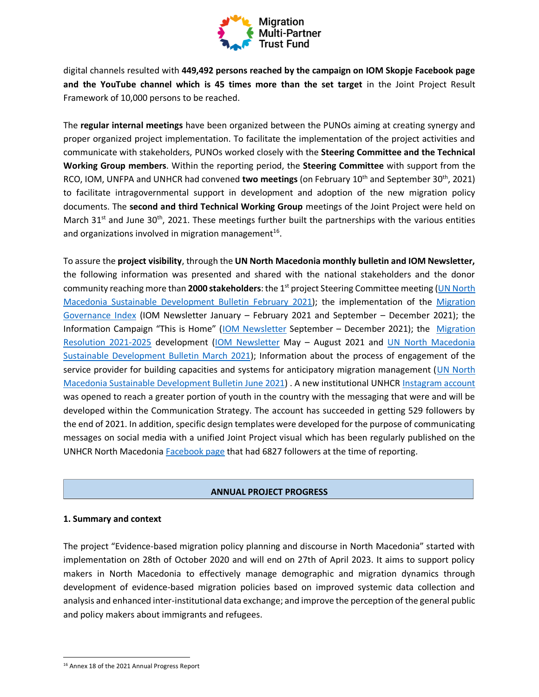

digital channels resulted with **449,492 persons reached by the campaign on IOM Skopje Facebook page and the YouTube channel which is 45 times more than the set target** in the Joint Project Result Framework of 10,000 persons to be reached.

The **regular internal meetings** have been organized between the PUNOs aiming at creating synergy and proper organized project implementation. To facilitate the implementation of the project activities and communicate with stakeholders, PUNOs worked closely with the **Steering Committee and the Technical Working Group members**. Within the reporting period, the **Steering Committee** with support from the RCO, IOM, UNFPA and UNHCR had convened **two meetings** (on February 10th and September 30th, 2021) to facilitate intragovernmental support in development and adoption of the new migration policy documents. The **second and third Technical Working Group** meetings of the Joint Project were held on March 31 $<sup>st</sup>$  and June 30<sup>th</sup>, 2021. These meetings further built the partnerships with the various entities</sup> and organizations involved in migration management<sup>16</sup>.

To assure the **project visibility**, through the **UN North Macedonia monthly bulletin and IOM Newsletter,** the following information was presented and shared with the national stakeholders and the donor community reaching more than **2000 stakeholders**: the 1st project Steering Committee meeting [\(UN North](https://eur02.safelinks.protection.outlook.com/?url=https%3A%2F%2Fnorthmacedonia.un.org%2Fen%2F115396-sustainable-development-bulletin-february-2021&data=04%7C01%7Cjkrasic%40iom.int%7Cf0f7e951ac044721032808d929baf060%7C1588262d23fb43b4bd6ebce49c8e6186%7C1%7C0%7C637586705157502737%7CUnknown%7CTWFpbGZsb3d8eyJWIjoiMC4wLjAwMDAiLCJQIjoiV2luMzIiLCJBTiI6Ik1haWwiLCJXVCI6Mn0%3D%7C1000&sdata=3JfyynteDvNJl71nI7c9YB82NSxccrxEFXYFiWHCOuw%3D&reserved=0)  [Macedonia Sustainable Development Bulletin February 2021\)](https://eur02.safelinks.protection.outlook.com/?url=https%3A%2F%2Fnorthmacedonia.un.org%2Fen%2F115396-sustainable-development-bulletin-february-2021&data=04%7C01%7Cjkrasic%40iom.int%7Cf0f7e951ac044721032808d929baf060%7C1588262d23fb43b4bd6ebce49c8e6186%7C1%7C0%7C637586705157502737%7CUnknown%7CTWFpbGZsb3d8eyJWIjoiMC4wLjAwMDAiLCJQIjoiV2luMzIiLCJBTiI6Ik1haWwiLCJXVCI6Mn0%3D%7C1000&sdata=3JfyynteDvNJl71nI7c9YB82NSxccrxEFXYFiWHCOuw%3D&reserved=0); the implementation of the [Migration](https://north-macedonia.iom.int/news/migration-governance-indicators-profile-2021-north-macedonia)  [Governance Index](https://north-macedonia.iom.int/news/migration-governance-indicators-profile-2021-north-macedonia) (IOM Newsletter January – February 2021 and September – December 2021); the Information Campaign "This is Home" ([IOM Newsletter](https://north-macedonia.iom.int/news/international-migrants-day-2021) September – December 2021); the [Migration](https://north-macedonia.iom.int/news/development-new-resolution-migration-policy-2021-2025)  [Resolution 2021-2025](https://north-macedonia.iom.int/news/development-new-resolution-migration-policy-2021-2025) development [\(IOM Newsletter](https://north-macedonia.iom.int/news/development-new-resolution-migration-policy-2021-2025) May – August 2021 and [UN North Macedonia](https://eur02.safelinks.protection.outlook.com/?url=https%3A%2F%2Fnorthmacedonia.un.org%2Fen%2F124568-sustainable-development-bulletin-march-2021&data=04%7C01%7Cjkrasic%40iom.int%7Cf0f7e951ac044721032808d929baf060%7C1588262d23fb43b4bd6ebce49c8e6186%7C1%7C0%7C637586705157502737%7CUnknown%7CTWFpbGZsb3d8eyJWIjoiMC4wLjAwMDAiLCJQIjoiV2luMzIiLCJBTiI6Ik1haWwiLCJXVCI6Mn0%3D%7C1000&sdata=1nB4aWIn8jx%2FTkbYoZOwanayNZ1y7Kfdu13xIsUS698%3D&reserved=0)  [Sustainable Development Bulletin March 2021\)](https://eur02.safelinks.protection.outlook.com/?url=https%3A%2F%2Fnorthmacedonia.un.org%2Fen%2F124568-sustainable-development-bulletin-march-2021&data=04%7C01%7Cjkrasic%40iom.int%7Cf0f7e951ac044721032808d929baf060%7C1588262d23fb43b4bd6ebce49c8e6186%7C1%7C0%7C637586705157502737%7CUnknown%7CTWFpbGZsb3d8eyJWIjoiMC4wLjAwMDAiLCJQIjoiV2luMzIiLCJBTiI6Ik1haWwiLCJXVCI6Mn0%3D%7C1000&sdata=1nB4aWIn8jx%2FTkbYoZOwanayNZ1y7Kfdu13xIsUS698%3D&reserved=0); Information about the process of engagement of the service provider for building capacities and systems for anticipatory migration management [\(UN North](https://northmacedonia.un.org/en/139289-sustainable-development-bulletin-july-2021)  [Macedonia Sustainable Development Bulletin June 2021\)](https://northmacedonia.un.org/en/139289-sustainable-development-bulletin-july-2021) . A new institutional UNHCR [Instagram account](https://www.instagram.com/unhcrnorthmacedonia/) was opened to reach a greater portion of youth in the country with the messaging that were and will be developed within the Communication Strategy. The account has succeeded in getting 529 followers by the end of 2021. In addition, specific design templates were developed for the purpose of communicating messages on social media with a unified Joint Project visual which has been regularly published on the UNHCR North Macedonia [Facebook page](https://www.facebook.com/UNHCRSkopje1/) that had 6827 followers at the time of reporting.

### **ANNUAL PROJECT PROGRESS**

### **1. Summary and context**

The project "Evidence-based migration policy planning and discourse in North Macedonia" started with implementation on 28th of October 2020 and will end on 27th of April 2023. It aims to support policy makers in North Macedonia to effectively manage demographic and migration dynamics through development of evidence-based migration policies based on improved systemic data collection and analysis and enhanced inter-institutional data exchange; and improve the perception of the general public and policy makers about immigrants and refugees.

<sup>16</sup> Annex 18 of the 2021 Annual Progress Report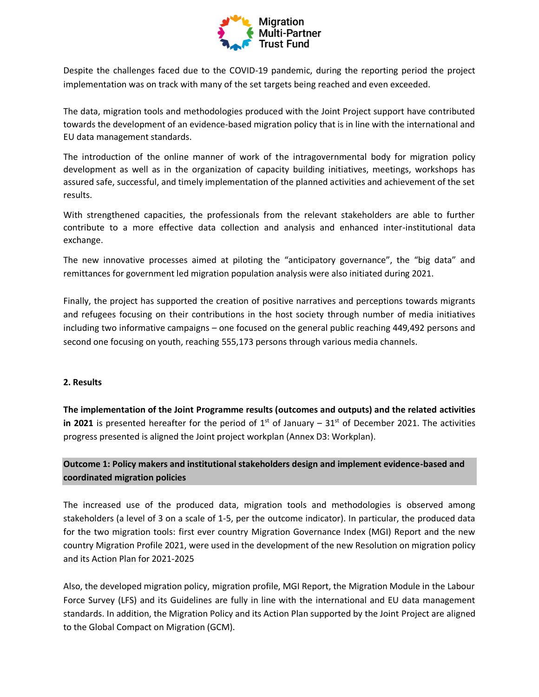

Despite the challenges faced due to the COVID-19 pandemic, during the reporting period the project implementation was on track with many of the set targets being reached and even exceeded.

The data, migration tools and methodologies produced with the Joint Project support have contributed towards the development of an evidence-based migration policy that is in line with the international and EU data management standards.

The introduction of the online manner of work of the intragovernmental body for migration policy development as well as in the organization of capacity building initiatives, meetings, workshops has assured safe, successful, and timely implementation of the planned activities and achievement of the set results.

With strengthened capacities, the professionals from the relevant stakeholders are able to further contribute to a more effective data collection and analysis and enhanced inter-institutional data exchange.

The new innovative processes aimed at piloting the "anticipatory governance", the "big data" and remittances for government led migration population analysis were also initiated during 2021.

Finally, the project has supported the creation of positive narratives and perceptions towards migrants and refugees focusing on their contributions in the host society through number of media initiatives including two informative campaigns – one focused on the general public reaching 449,492 persons and second one focusing on youth, reaching 555,173 persons through various media channels.

### **2. Results**

**The implementation of the Joint Programme results (outcomes and outputs) and the related activities in 2021** is presented hereafter for the period of  $1<sup>st</sup>$  of January –  $31<sup>st</sup>$  of December 2021. The activities progress presented is aligned the Joint project workplan (Annex D3: Workplan).

## **Outcome 1: Policy makers and institutional stakeholders design and implement evidence-based and coordinated migration policies**

The increased use of the produced data, migration tools and methodologies is observed among stakeholders (a level of 3 on a scale of 1-5, per the outcome indicator). In particular, the produced data for the two migration tools: first ever country Migration Governance Index (MGI) Report and the new country Migration Profile 2021, were used in the development of the new Resolution on migration policy and its Action Plan for 2021-2025

Also, the developed migration policy, migration profile, MGI Report, the Migration Module in the Labour Force Survey (LFS) and its Guidelines are fully in line with the international and EU data management standards. In addition, the Migration Policy and its Action Plan supported by the Joint Project are aligned to the Global Compact on Migration (GCM).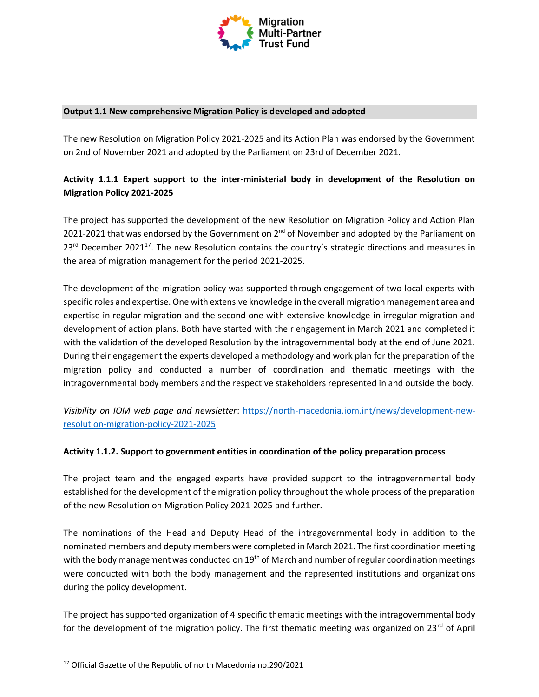

#### **Output 1.1 New comprehensive Migration Policy is developed and adopted**

The new Resolution on Migration Policy 2021-2025 and its Action Plan was endorsed by the Government on 2nd of November 2021 and adopted by the Parliament on 23rd of December 2021.

## **Activity 1.1.1 Expert support to the inter-ministerial body in development of the Resolution on Migration Policy 2021-2025**

The project has supported the development of the new Resolution on Migration Policy and Action Plan 2021-2021 that was endorsed by the Government on  $2^{nd}$  of November and adopted by the Parliament on 23<sup>rd</sup> December 2021<sup>17</sup>. The new Resolution contains the country's strategic directions and measures in the area of migration management for the period 2021-2025.

The development of the migration policy was supported through engagement of two local experts with specific roles and expertise. One with extensive knowledge in the overall migration management area and expertise in regular migration and the second one with extensive knowledge in irregular migration and development of action plans. Both have started with their engagement in March 2021 and completed it with the validation of the developed Resolution by the intragovernmental body at the end of June 2021. During their engagement the experts developed a methodology and work plan for the preparation of the migration policy and conducted a number of coordination and thematic meetings with the intragovernmental body members and the respective stakeholders represented in and outside the body.

*Visibility on IOM web page and newsletter*: [https://north-macedonia.iom.int/news/development-new](https://north-macedonia.iom.int/news/development-new-resolution-migration-policy-2021-2025)[resolution-migration-policy-2021-2025](https://north-macedonia.iom.int/news/development-new-resolution-migration-policy-2021-2025)

### **Activity 1.1.2. Support to government entities in coordination of the policy preparation process**

The project team and the engaged experts have provided support to the intragovernmental body established for the development of the migration policy throughout the whole process of the preparation of the new Resolution on Migration Policy 2021-2025 and further.

The nominations of the Head and Deputy Head of the intragovernmental body in addition to the nominated members and deputy members were completed in March 2021. The first coordination meeting with the body management was conducted on 19<sup>th</sup> of March and number of regular coordination meetings were conducted with both the body management and the represented institutions and organizations during the policy development.

The project has supported organization of 4 specific thematic meetings with the intragovernmental body for the development of the migration policy. The first thematic meeting was organized on  $23^{\text{rd}}$  of April

<sup>17</sup> Official Gazette of the Republic of north Macedonia no.290/2021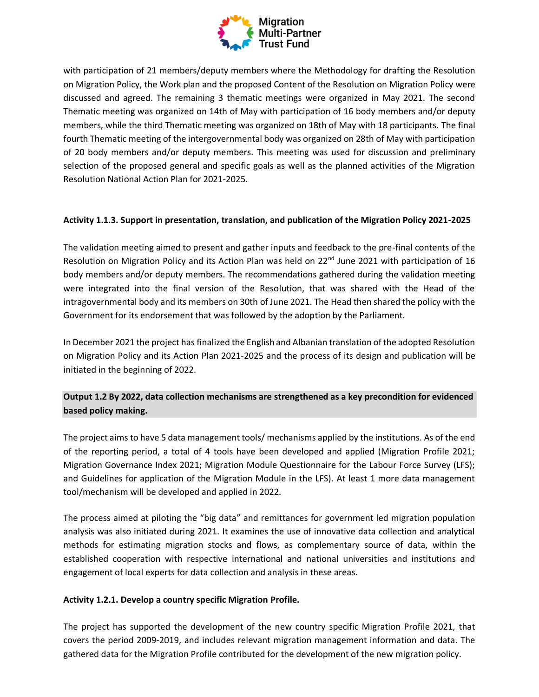

with participation of 21 members/deputy members where the Methodology for drafting the Resolution on Migration Policy, the Work plan and the proposed Content of the Resolution on Migration Policy were discussed and agreed. The remaining 3 thematic meetings were organized in May 2021. The second Thematic meeting was organized on 14th of May with participation of 16 body members and/or deputy members, while the third Thematic meeting was organized on 18th of May with 18 participants. The final fourth Thematic meeting of the intergovernmental body was organized on 28th of May with participation of 20 body members and/or deputy members. This meeting was used for discussion and preliminary selection of the proposed general and specific goals as well as the planned activities of the Migration Resolution National Action Plan for 2021-2025.

### **Activity 1.1.3. Support in presentation, translation, and publication of the Migration Policy 2021-2025**

The validation meeting aimed to present and gather inputs and feedback to the pre-final contents of the Resolution on Migration Policy and its Action Plan was held on 22<sup>nd</sup> June 2021 with participation of 16 body members and/or deputy members. The recommendations gathered during the validation meeting were integrated into the final version of the Resolution, that was shared with the Head of the intragovernmental body and its members on 30th of June 2021. The Head then shared the policy with the Government for its endorsement that was followed by the adoption by the Parliament.

In December 2021 the project has finalized the English and Albanian translation of the adopted Resolution on Migration Policy and its Action Plan 2021-2025 and the process of its design and publication will be initiated in the beginning of 2022.

# **Output 1.2 By 2022, data collection mechanisms are strengthened as a key precondition for evidenced based policy making.**

The project aims to have 5 data management tools/ mechanisms applied by the institutions. As of the end of the reporting period, a total of 4 tools have been developed and applied (Migration Profile 2021; Migration Governance Index 2021; Migration Module Questionnaire for the Labour Force Survey (LFS); and Guidelines for application of the Migration Module in the LFS). At least 1 more data management tool/mechanism will be developed and applied in 2022.

The process aimed at piloting the "big data" and remittances for government led migration population analysis was also initiated during 2021. It examines the use of innovative data collection and analytical methods for estimating migration stocks and flows, as complementary source of data, within the established cooperation with respective international and national universities and institutions and engagement of local experts for data collection and analysis in these areas.

### **Activity 1.2.1. Develop a country specific Migration Profile.**

The project has supported the development of the new country specific Migration Profile 2021, that covers the period 2009-2019, and includes relevant migration management information and data. The gathered data for the Migration Profile contributed for the development of the new migration policy.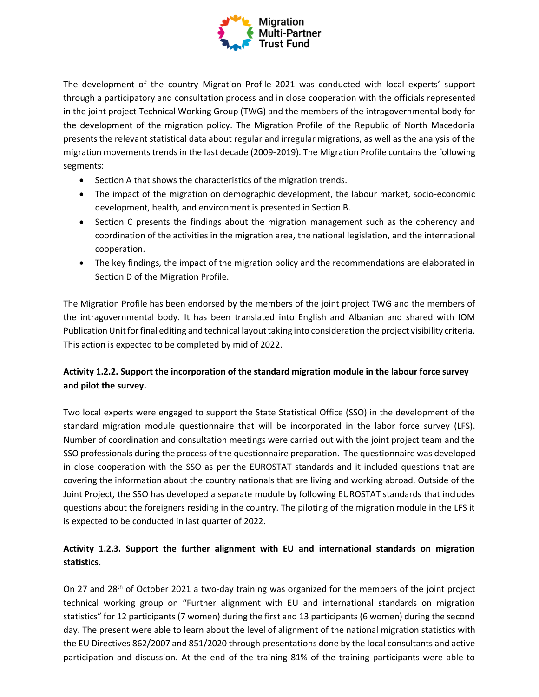

The development of the country Migration Profile 2021 was conducted with local experts' support through a participatory and consultation process and in close cooperation with the officials represented in the joint project Technical Working Group (TWG) and the members of the intragovernmental body for the development of the migration policy. The Migration Profile of the Republic of North Macedonia presents the relevant statistical data about regular and irregular migrations, as well as the analysis of the migration movements trends in the last decade (2009-2019). The Migration Profile contains the following segments:

- Section A that shows the characteristics of the migration trends.
- The impact of the migration on demographic development, the labour market, socio-economic development, health, and environment is presented in Section B.
- Section C presents the findings about the migration management such as the coherency and coordination of the activities in the migration area, the national legislation, and the international cooperation.
- The key findings, the impact of the migration policy and the recommendations are elaborated in Section D of the Migration Profile.

The Migration Profile has been endorsed by the members of the joint project TWG and the members of the intragovernmental body. It has been translated into English and Albanian and shared with IOM Publication Unit for final editing and technical layout taking into consideration the project visibility criteria. This action is expected to be completed by mid of 2022.

# **Activity 1.2.2. Support the incorporation of the standard migration module in the labour force survey and pilot the survey.**

Two local experts were engaged to support the State Statistical Office (SSO) in the development of the standard migration module questionnaire that will be incorporated in the labor force survey (LFS). Number of coordination and consultation meetings were carried out with the joint project team and the SSO professionals during the process of the questionnaire preparation. The questionnaire was developed in close cooperation with the SSO as per the EUROSTAT standards and it included questions that are covering the information about the country nationals that are living and working abroad. Outside of the Joint Project, the SSO has developed a separate module by following EUROSTAT standards that includes questions about the foreigners residing in the country. The piloting of the migration module in the LFS it is expected to be conducted in last quarter of 2022.

# **Activity 1.2.3. Support the further alignment with EU and international standards on migration statistics.**

On 27 and 28<sup>th</sup> of October 2021 a two-day training was organized for the members of the joint project technical working group on "Further alignment with EU and international standards on migration statistics" for 12 participants (7 women) during the first and 13 participants (6 women) during the second day. The present were able to learn about the level of alignment of the national migration statistics with the EU Directives 862/2007 and 851/2020 through presentations done by the local consultants and active participation and discussion. At the end of the training 81% of the training participants were able to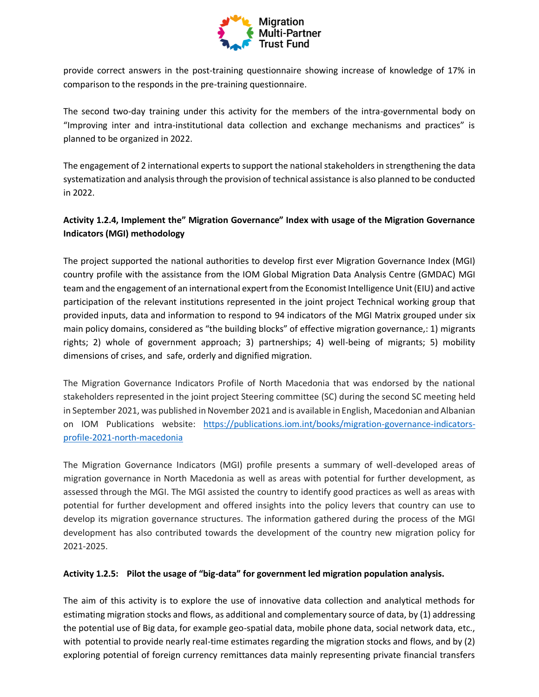

provide correct answers in the post-training questionnaire showing increase of knowledge of 17% in comparison to the responds in the pre-training questionnaire.

The second two-day training under this activity for the members of the intra-governmental body on "Improving inter and intra-institutional data collection and exchange mechanisms and practices" is planned to be organized in 2022.

The engagement of 2 international experts to support the national stakeholders in strengthening the data systematization and analysis through the provision of technical assistance is also planned to be conducted in 2022.

# **Activity 1.2.4, Implement the" Migration Governance" Index with usage of the Migration Governance Indicators (MGI) methodology**

The project supported the national authorities to develop first ever Migration Governance Index (MGI) country profile with the assistance from the IOM Global Migration Data Analysis Centre (GMDAC) MGI team and the engagement of an international expert from the Economist Intelligence Unit (EIU) and active participation of the relevant institutions represented in the joint project Technical working group that provided inputs, data and information to respond to 94 indicators of the MGI Matrix grouped under six main policy domains, considered as "the building blocks" of effective migration governance,: 1) migrants rights; 2) whole of government approach; 3) partnerships; 4) well-being of migrants; 5) mobility dimensions of crises, and safe, orderly and dignified migration.

The Migration Governance Indicators Profile of North Macedonia that was endorsed by the national stakeholders represented in the joint project Steering committee (SC) during the second SC meeting held in September 2021, was published in November 2021 and is available in English, Macedonian and Albanian on IOM Publications website: [https://publications.iom.int/books/migration-governance-indicators](https://publications.iom.int/books/migration-governance-indicators-profile-2021-north-macedonia)[profile-2021-north-macedonia](https://publications.iom.int/books/migration-governance-indicators-profile-2021-north-macedonia)

The Migration Governance Indicators (MGI) profile presents a summary of well-developed areas of migration governance in North Macedonia as well as areas with potential for further development, as assessed through the MGI. The MGI assisted the country to identify good practices as well as areas with potential for further development and offered insights into the policy levers that country can use to develop its migration governance structures. The information gathered during the process of the MGI development has also contributed towards the development of the country new migration policy for 2021-2025.

### **Activity 1.2.5: Pilot the usage of "big-data" for government led migration population analysis.**

The aim of this activity is to explore the use of innovative data collection and analytical methods for estimating migration stocks and flows, as additional and complementary source of data, by (1) addressing the potential use of Big data, for example geo-spatial data, mobile phone data, social network data, etc., with potential to provide nearly real-time estimates regarding the migration stocks and flows, and by (2) exploring potential of foreign currency remittances data mainly representing private financial transfers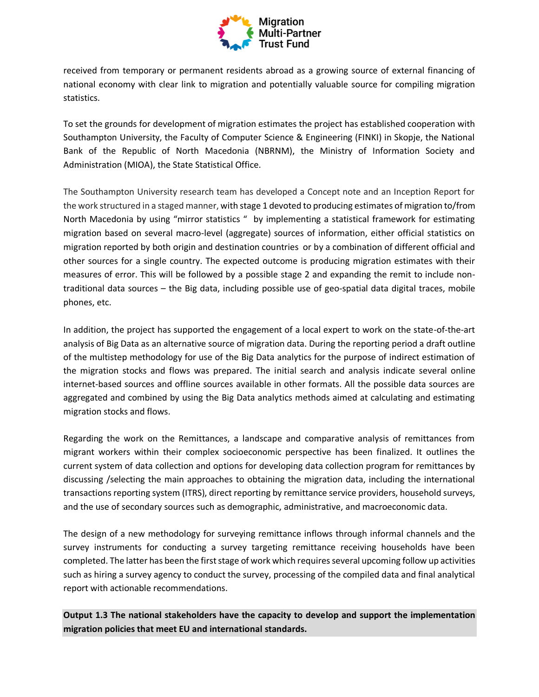

received from temporary or permanent residents abroad as a growing source of external financing of national economy with clear link to migration and potentially valuable source for compiling migration statistics.

To set the grounds for development of migration estimates the project has established cooperation with Southampton University, the Faculty of Computer Science & Engineering (FINKI) in Skopje, the National Bank of the Republic of North Macedonia (NBRNM), the Ministry of Information Society and Administration (MIOA), the State Statistical Office.

The Southampton University research team has developed a Concept note and an Inception Report for the work structured in a staged manner, with stage 1 devoted to producing estimates of migration to/from North Macedonia by using "mirror statistics " by implementing a statistical framework for estimating migration based on several macro-level (aggregate) sources of information, either official statistics on migration reported by both origin and destination countries or by a combination of different official and other sources for a single country. The expected outcome is producing migration estimates with their measures of error. This will be followed by a possible stage 2 and expanding the remit to include nontraditional data sources – the Big data, including possible use of geo-spatial data digital traces, mobile phones, etc.

In addition, the project has supported the engagement of a local expert to work on the state-of-the-art analysis of Big Data as an alternative source of migration data. During the reporting period a draft outline of the multistep methodology for use of the Big Data analytics for the purpose of indirect estimation of the migration stocks and flows was prepared. The initial search and analysis indicate several online internet-based sources and offline sources available in other formats. All the possible data sources are aggregated and combined by using the Big Data analytics methods aimed at calculating and estimating migration stocks and flows.

Regarding the work on the Remittances, a landscape and comparative analysis of remittances from migrant workers within their complex socioeconomic perspective has been finalized. It outlines the current system of data collection and options for developing data collection program for remittances by discussing /selecting the main approaches to obtaining the migration data, including the international transactions reporting system (ITRS), direct reporting by remittance service providers, household surveys, and the use of secondary sources such as demographic, administrative, and macroeconomic data.

The design of a new methodology for surveying remittance inflows through informal channels and the survey instruments for conducting a survey targeting remittance receiving households have been completed. The latter has been the first stage of work which requires several upcoming follow up activities such as hiring a survey agency to conduct the survey, processing of the compiled data and final analytical report with actionable recommendations.

**Output 1.3 The national stakeholders have the capacity to develop and support the implementation migration policies that meet EU and international standards.**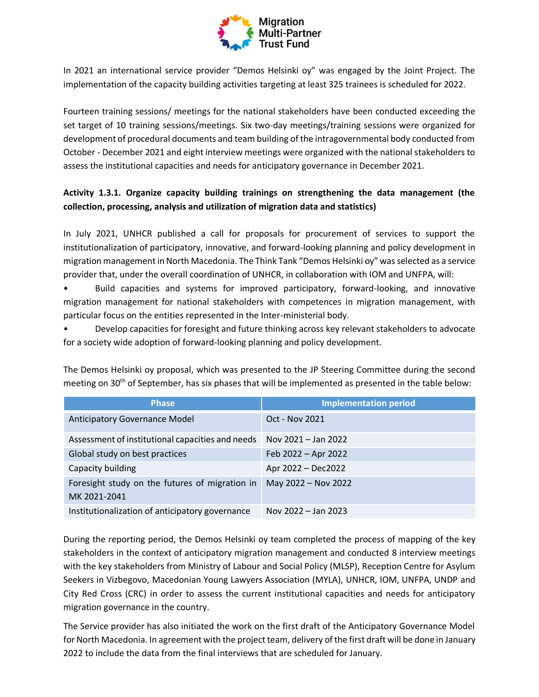

In 2021 an international service provider "Demos Helsinki oy" was engaged by the Joint Project. The implementation of the capacity building activities targeting at least 325 trainees is scheduled for 2022.

Fourteen training sessions/ meetings for the national stakeholders have been conducted exceeding the set target of 10 training sessions/meetings. Six two-day meetings/training sessions were organized for development of procedural documents and team building of the intragovernmental body conducted from October - December 2021 and eight interview meetings were organized with the national stakeholders to assess the institutional capacities and needs for anticipatory governance in December 2021.

# **Activity 1.3.1. Organize capacity building trainings on strengthening the data management (the collection, processing, analysis and utilization of migration data and statistics)**

In July 2021, UNHCR published a call for proposals for procurement of services to support the institutionalization of participatory, innovative, and forward-looking planning and policy development in migration management in North Macedonia. The Think Tank "Demos Helsinki oy" was selected as a service provider that, under the overall coordination of UNHCR, in collaboration with IOM and UNFPA, will:

• Build capacities and systems for improved participatory, forward-looking, and innovative migration management for national stakeholders with competences in migration management, with particular focus on the entities represented in the Inter-ministerial body.

• Develop capacities for foresight and future thinking across key relevant stakeholders to advocate for a society wide adoption of forward-looking planning and policy development.

| <b>Phase</b>                                                   | <b>Implementation period</b> |
|----------------------------------------------------------------|------------------------------|
| Anticipatory Governance Model                                  | Oct - Nov 2021               |
| Assessment of institutional capacities and needs               | Nov 2021 - Jan 2022          |
| Global study on best practices                                 | Feb 2022 - Apr 2022          |
| Capacity building                                              | Apr 2022 - Dec2022           |
| Foresight study on the futures of migration in<br>MK 2021-2041 | May 2022 - Nov 2022          |
| Institutionalization of anticipatory governance                | Nov 2022 - Jan 2023          |

The Demos Helsinki oy proposal, which was presented to the JP Steering Committee during the second meeting on 30<sup>th</sup> of September, has six phases that will be implemented as presented in the table below:

During the reporting period, the Demos Helsinki oy team completed the process of mapping of the key stakeholders in the context of anticipatory migration management and conducted 8 interview meetings with the key stakeholders from Ministry of Labour and Social Policy (MLSP), Reception Centre for Asylum Seekers in Vizbegovo, Macedonian Young Lawyers Association (MYLA), UNHCR, IOM, UNFPA, UNDP and City Red Cross (CRC) in order to assess the current institutional capacities and needs for anticipatory migration governance in the country.

The Service provider has also initiated the work on the first draft of the Anticipatory Governance Model for North Macedonia. In agreement with the project team, delivery of the first draft will be done in January 2022 to include the data from the final interviews that are scheduled for January.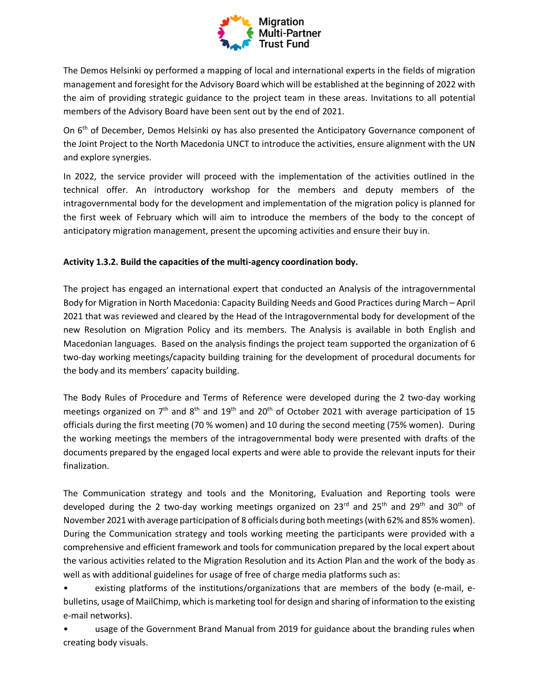

The Demos Helsinki oy performed a mapping of local and international experts in the fields of migration management and foresight for the Advisory Board which will be established at the beginning of 2022 with the aim of providing strategic guidance to the project team in these areas. Invitations to all potential members of the Advisory Board have been sent out by the end of 2021.

On 6<sup>th</sup> of December, Demos Helsinki oy has also presented the Anticipatory Governance component of the Joint Project to the North Macedonia UNCT to introduce the activities, ensure alignment with the UN and explore synergies.

In 2022, the service provider will proceed with the implementation of the activities outlined in the technical offer. An introductory workshop for the members and deputy members of the intragovernmental body for the development and implementation of the migration policy is planned for the first week of February which will aim to introduce the members of the body to the concept of anticipatory migration management, present the upcoming activities and ensure their buy in.

### **Activity 1.3.2. Build the capacities of the multi-agency coordination body.**

The project has engaged an international expert that conducted an Analysis of the intragovernmental Body for Migration in North Macedonia: Capacity Building Needs and Good Practices during March – April 2021 that was reviewed and cleared by the Head of the Intragovernmental body for development of the new Resolution on Migration Policy and its members. The Analysis is available in both English and Macedonian languages. Based on the analysis findings the project team supported the organization of 6 two-day working meetings/capacity building training for the development of procedural documents for the body and its members' capacity building.

The Body Rules of Procedure and Terms of Reference were developed during the 2 two-day working meetings organized on  $7<sup>th</sup>$  and  $8<sup>th</sup>$  and  $19<sup>th</sup>$  and  $20<sup>th</sup>$  of October 2021 with average participation of 15 officials during the first meeting (70 % women) and 10 during the second meeting (75% women). During the working meetings the members of the intragovernmental body were presented with drafts of the documents prepared by the engaged local experts and were able to provide the relevant inputs for their finalization.

The Communication strategy and tools and the Monitoring, Evaluation and Reporting tools were developed during the 2 two-day working meetings organized on 23<sup>rd</sup> and 25<sup>th</sup> and 29<sup>th</sup> and 30<sup>th</sup> of November 2021 with average participation of 8 officials during both meetings (with 62% and 85% women). During the Communication strategy and tools working meeting the participants were provided with a comprehensive and efficient framework and tools for communication prepared by the local expert about the various activities related to the Migration Resolution and its Action Plan and the work of the body as well as with additional guidelines for usage of free of charge media platforms such as:

existing platforms of the institutions/organizations that are members of the body (e-mail, ebulletins, usage of MailChimp, which is marketing tool for design and sharing of information to the existing e-mail networks).

• usage of the Government Brand Manual from 2019 for guidance about the branding rules when creating body visuals.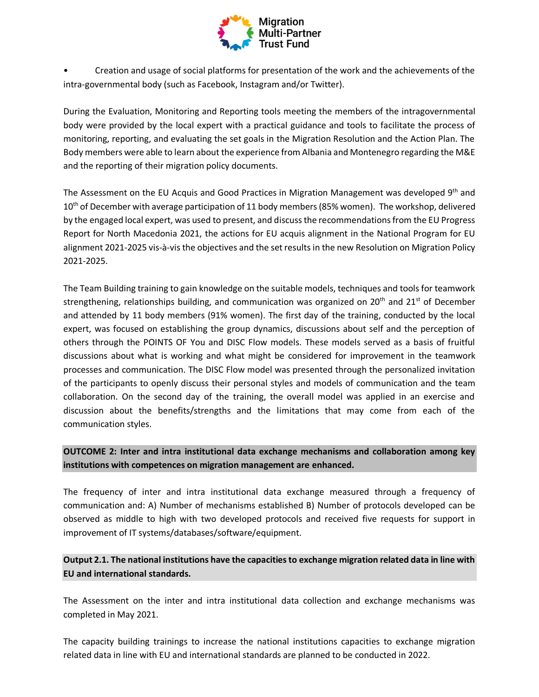

• Creation and usage of social platforms for presentation of the work and the achievements of the intra-governmental body (such as Facebook, Instagram and/or Twitter).

During the Evaluation, Monitoring and Reporting tools meeting the members of the intragovernmental body were provided by the local expert with a practical guidance and tools to facilitate the process of monitoring, reporting, and evaluating the set goals in the Migration Resolution and the Action Plan. The Body members were able to learn about the experience from Albania and Montenegro regarding the M&E and the reporting of their migration policy documents.

The Assessment on the EU Acquis and Good Practices in Migration Management was developed 9<sup>th</sup> and  $10<sup>th</sup>$  of December with average participation of 11 body members (85% women). The workshop, delivered by the engaged local expert, was used to present, and discuss the recommendations from the EU Progress Report for North Macedonia 2021, the actions for EU acquis alignment in the National Program for EU alignment 2021-2025 vis-à-vis the objectives and the set results in the new Resolution on Migration Policy 2021-2025.

The Team Building training to gain knowledge on the suitable models, techniques and tools for teamwork strengthening, relationships building, and communication was organized on  $20<sup>th</sup>$  and  $21<sup>st</sup>$  of December and attended by 11 body members (91% women). The first day of the training, conducted by the local expert, was focused on establishing the group dynamics, discussions about self and the perception of others through the POINTS OF You and DISC Flow models. These models served as a basis of fruitful discussions about what is working and what might be considered for improvement in the teamwork processes and communication. The DISC Flow model was presented through the personalized invitation of the participants to openly discuss their personal styles and models of communication and the team collaboration. On the second day of the training, the overall model was applied in an exercise and discussion about the benefits/strengths and the limitations that may come from each of the communication styles.

## **OUTCOME 2: Inter and intra institutional data exchange mechanisms and collaboration among key institutions with competences on migration management are enhanced.**

The frequency of inter and intra institutional data exchange measured through a frequency of communication and: A) Number of mechanisms established B) Number of protocols developed can be observed as middle to high with two developed protocols and received five requests for support in improvement of IT systems/databases/software/equipment.

## **Output 2.1. The national institutions have the capacities to exchange migration related data in line with EU and international standards.**

The Assessment on the inter and intra institutional data collection and exchange mechanisms was completed in May 2021.

The capacity building trainings to increase the national institutions capacities to exchange migration related data in line with EU and international standards are planned to be conducted in 2022.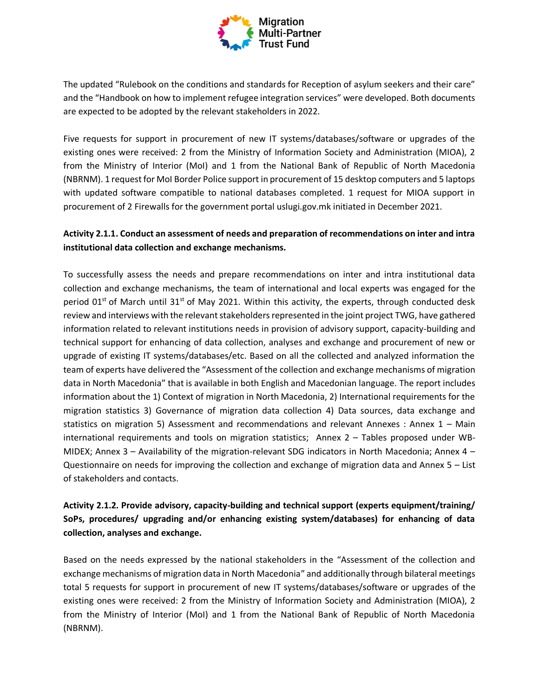

The updated "Rulebook on the conditions and standards for Reception of asylum seekers and their care" and the "Handbook on how to implement refugee integration services" were developed. Both documents are expected to be adopted by the relevant stakeholders in 2022.

Five requests for support in procurement of new IT systems/databases/software or upgrades of the existing ones were received: 2 from the Ministry of Information Society and Administration (MIOA), 2 from the Ministry of Interior (MoI) and 1 from the National Bank of Republic of North Macedonia (NBRNM). 1 request for MoI Border Police support in procurement of 15 desktop computers and 5 laptops with updated software compatible to national databases completed. 1 request for MIOA support in procurement of 2 Firewalls for the government portal uslugi.gov.mk initiated in December 2021.

## **Activity 2.1.1. Conduct an assessment of needs and preparation of recommendations on inter and intra institutional data collection and exchange mechanisms.**

To successfully assess the needs and prepare recommendations on inter and intra institutional data collection and exchange mechanisms, the team of international and local experts was engaged for the period  $01<sup>st</sup>$  of March until 31<sup>st</sup> of May 2021. Within this activity, the experts, through conducted desk review and interviews with the relevant stakeholders represented in the joint project TWG, have gathered information related to relevant institutions needs in provision of advisory support, capacity-building and technical support for enhancing of data collection, analyses and exchange and procurement of new or upgrade of existing IT systems/databases/etc. Based on all the collected and analyzed information the team of experts have delivered the "Assessment of the collection and exchange mechanisms of migration data in North Macedonia" that is available in both English and Macedonian language. The report includes information about the 1) Context of migration in North Macedonia, 2) International requirements for the migration statistics 3) Governance of migration data collection 4) Data sources, data exchange and statistics on migration 5) Assessment and recommendations and relevant Annexes : Annex 1 – Main international requirements and tools on migration statistics; Annex 2 – Tables proposed under WB-MIDEX; Annex  $3 -$  Availability of the migration-relevant SDG indicators in North Macedonia; Annex  $4 -$ Questionnaire on needs for improving the collection and exchange of migration data and Annex 5 – List of stakeholders and contacts.

# **Activity 2.1.2. Provide advisory, capacity-building and technical support (experts equipment/training/ SoPs, procedures/ upgrading and/or enhancing existing system/databases) for enhancing of data collection, analyses and exchange.**

Based on the needs expressed by the national stakeholders in the "Assessment of the collection and exchange mechanisms of migration data in North Macedonia" and additionally through bilateral meetings total 5 requests for support in procurement of new IT systems/databases/software or upgrades of the existing ones were received: 2 from the Ministry of Information Society and Administration (MIOA), 2 from the Ministry of Interior (MoI) and 1 from the National Bank of Republic of North Macedonia (NBRNM).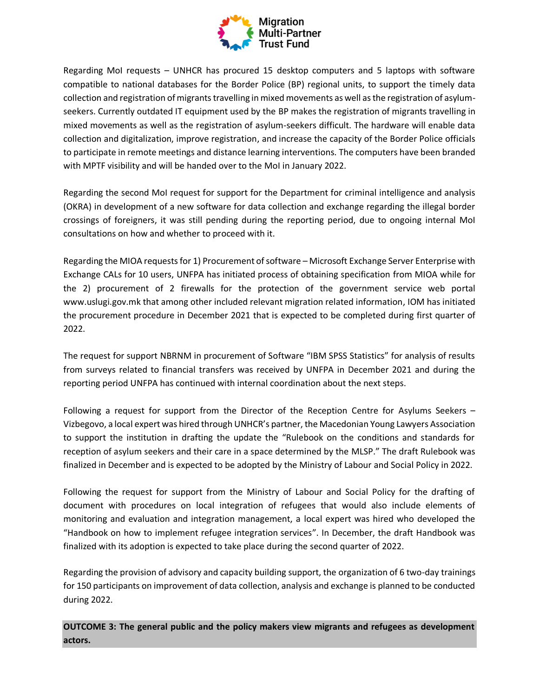

Regarding MoI requests – UNHCR has procured 15 desktop computers and 5 laptops with software compatible to national databases for the Border Police (BP) regional units, to support the timely data collection and registration of migrants travelling in mixed movements as well as the registration of asylumseekers. Currently outdated IT equipment used by the BP makes the registration of migrants travelling in mixed movements as well as the registration of asylum-seekers difficult. The hardware will enable data collection and digitalization, improve registration, and increase the capacity of the Border Police officials to participate in remote meetings and distance learning interventions. The computers have been branded with MPTF visibility and will be handed over to the MoI in January 2022.

Regarding the second MoI request for support for the Department for criminal intelligence and analysis (OKRA) in development of a new software for data collection and exchange regarding the illegal border crossings of foreigners, it was still pending during the reporting period, due to ongoing internal MoI consultations on how and whether to proceed with it.

Regarding the MIOA requests for 1) Procurement of software – Microsoft Exchange Server Enterprise with Exchange CALs for 10 users, UNFPA has initiated process of obtaining specification from MIOA while for the 2) procurement of 2 firewalls for the protection of the government service web portal www.uslugi.gov.mk that among other included relevant migration related information, IOM has initiated the procurement procedure in December 2021 that is expected to be completed during first quarter of 2022.

The request for support NBRNM in procurement of Software "IBM SPSS Statistics" for analysis of results from surveys related to financial transfers was received by UNFPA in December 2021 and during the reporting period UNFPA has continued with internal coordination about the next steps.

Following a request for support from the Director of the Reception Centre for Asylums Seekers – Vizbegovo, a local expert was hired through UNHCR's partner, the Macedonian Young Lawyers Association to support the institution in drafting the update the "Rulebook on the conditions and standards for reception of asylum seekers and their care in a space determined by the MLSP." The draft Rulebook was finalized in December and is expected to be adopted by the Ministry of Labour and Social Policy in 2022.

Following the request for support from the Ministry of Labour and Social Policy for the drafting of document with procedures on local integration of refugees that would also include elements of monitoring and evaluation and integration management, a local expert was hired who developed the "Handbook on how to implement refugee integration services". In December, the draft Handbook was finalized with its adoption is expected to take place during the second quarter of 2022.

Regarding the provision of advisory and capacity building support, the organization of 6 two-day trainings for 150 participants on improvement of data collection, analysis and exchange is planned to be conducted during 2022.

**OUTCOME 3: The general public and the policy makers view migrants and refugees as development actors.**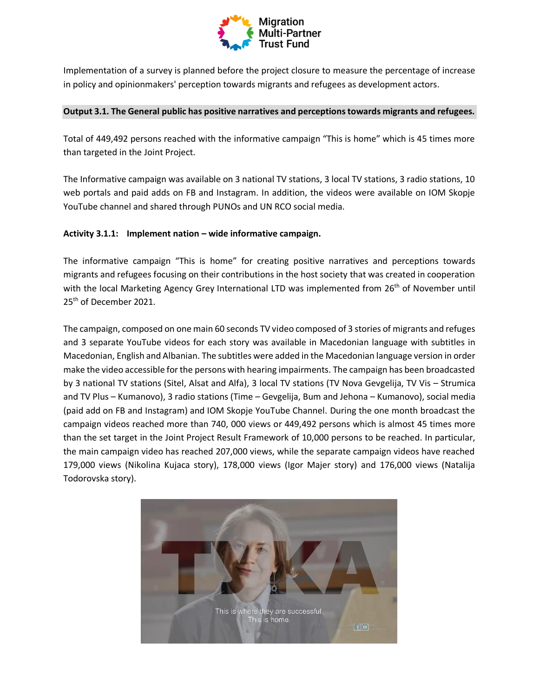

Implementation of a survey is planned before the project closure to measure the percentage of increase in policy and opinionmakers' perception towards migrants and refugees as development actors.

### **Output 3.1. The General public has positive narratives and perceptions towards migrants and refugees.**

Total of 449,492 persons reached with the informative campaign "This is home" which is 45 times more than targeted in the Joint Project.

The Informative campaign was available on 3 national TV stations, 3 local TV stations, 3 radio stations, 10 web portals and paid adds on FB and Instagram. In addition, the videos were available on IOM Skopje YouTube channel and shared through PUNOs and UN RCO social media.

### **Activity 3.1.1: Implement nation – wide informative campaign.**

The informative campaign "This is home" for creating positive narratives and perceptions towards migrants and refugees focusing on their contributions in the host society that was created in cooperation with the local Marketing Agency Grey International LTD was implemented from 26<sup>th</sup> of November until 25<sup>th</sup> of December 2021.

The campaign, composed on one main 60 seconds TV video composed of 3 stories of migrants and refuges and 3 separate YouTube videos for each story was available in Macedonian language with subtitles in Macedonian, English and Albanian. The subtitles were added in the Macedonian language version in order make the video accessible for the persons with hearing impairments. The campaign has been broadcasted by 3 national TV stations (Sitel, Alsat and Alfa), 3 local TV stations (TV Nova Gevgelija, TV Vis – Strumica and TV Plus – Kumanovo), 3 radio stations (Time – Gevgelija, Bum and Jehona – Kumanovo), social media (paid add on FB and Instagram) and IOM Skopje YouTube Channel. During the one month broadcast the campaign videos reached more than 740, 000 views or 449,492 persons which is almost 45 times more than the set target in the Joint Project Result Framework of 10,000 persons to be reached. In particular, the main campaign video has reached 207,000 views, while the separate campaign videos have reached 179,000 views (Nikolina Kujaca story), 178,000 views (Igor Majer story) and 176,000 views (Natalija Todorovska story).

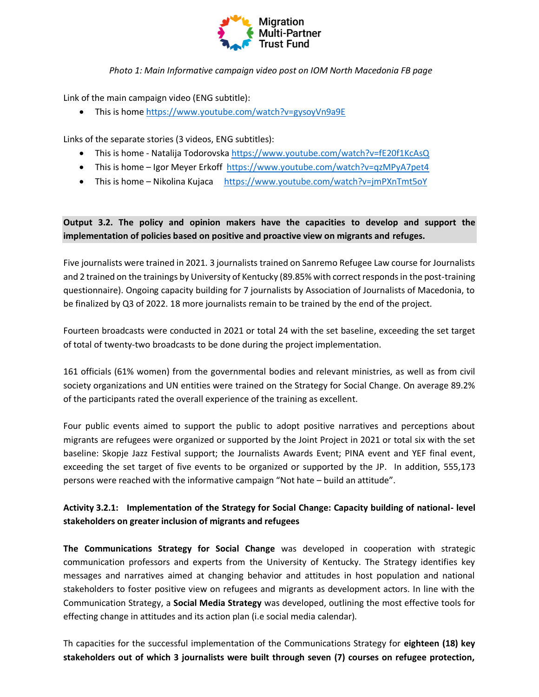

*Photo 1: Main Informative campaign video post on IOM North Macedonia FB page*

Link of the main campaign video (ENG subtitle):

• This is home [https://www.youtube.com/watch?v=gysoyVn9a9E](https://eur02.safelinks.protection.outlook.com/?url=https%3A%2F%2Fwww.youtube.com%2Fwatch%3Fv%3DgysoyVn9a9E&data=04%7C01%7Cjkrasic%40iom.int%7C2238693937764fcaee1e08d9b0e97529%7C1588262d23fb43b4bd6ebce49c8e6186%7C1%7C0%7C637735339126052685%7CUnknown%7CTWFpbGZsb3d8eyJWIjoiMC4wLjAwMDAiLCJQIjoiV2luMzIiLCJBTiI6Ik1haWwiLCJXVCI6Mn0%3D%7C3000&sdata=bw7IByNvR%2FFzGSvyIRf6yMb8GinKQPXMe0kXji22N%2Fs%3D&reserved=0)

Links of the separate stories (3 videos, ENG subtitles):

- This is home Natalija Todorovska [https://www.youtube.com/watch?v=fE20f1KcAsQ](https://eur02.safelinks.protection.outlook.com/?url=https%3A%2F%2Fwww.youtube.com%2Fwatch%3Fv%3DfE20f1KcAsQ&data=04%7C01%7Cjkrasic%40iom.int%7C2238693937764fcaee1e08d9b0e97529%7C1588262d23fb43b4bd6ebce49c8e6186%7C1%7C0%7C637735339126062679%7CUnknown%7CTWFpbGZsb3d8eyJWIjoiMC4wLjAwMDAiLCJQIjoiV2luMzIiLCJBTiI6Ik1haWwiLCJXVCI6Mn0%3D%7C3000&sdata=ZYtl%2FvHgQ3piGcqWlvLrIIYK%2FSd7KIlvfTeGXlZqJ%2Fg%3D&reserved=0)
- This is home Igor Meyer Erkoff [https://www.youtube.com/watch?v=qzMPyA7pet4](https://eur02.safelinks.protection.outlook.com/?url=https%3A%2F%2Fwww.youtube.com%2Fwatch%3Fv%3DqzMPyA7pet4&data=04%7C01%7Cjkrasic%40iom.int%7C2238693937764fcaee1e08d9b0e97529%7C1588262d23fb43b4bd6ebce49c8e6186%7C1%7C0%7C637735339126072672%7CUnknown%7CTWFpbGZsb3d8eyJWIjoiMC4wLjAwMDAiLCJQIjoiV2luMzIiLCJBTiI6Ik1haWwiLCJXVCI6Mn0%3D%7C3000&sdata=uKiu031%2Bzpa9z8iVafcYM4bT9MC8yjTphUKGzIwXQuQ%3D&reserved=0)
- This is home Nikolina Kujaca [https://www.youtube.com/watch?v=jmPXnTmt5oY](https://eur02.safelinks.protection.outlook.com/?url=https%3A%2F%2Fwww.youtube.com%2Fwatch%3Fv%3DjmPXnTmt5oY&data=04%7C01%7Cjkrasic%40iom.int%7C2238693937764fcaee1e08d9b0e97529%7C1588262d23fb43b4bd6ebce49c8e6186%7C1%7C0%7C637735339126082673%7CUnknown%7CTWFpbGZsb3d8eyJWIjoiMC4wLjAwMDAiLCJQIjoiV2luMzIiLCJBTiI6Ik1haWwiLCJXVCI6Mn0%3D%7C3000&sdata=W8xMZC7j9ic9xczhdcClIoTVfpCSE1lPntJPLkmARQo%3D&reserved=0)

## **Output 3.2. The policy and opinion makers have the capacities to develop and support the implementation of policies based on positive and proactive view on migrants and refuges.**

Five journalists were trained in 2021. 3 journalists trained on Sanremo Refugee Law course for Journalists and 2 trained on the trainings by University of Kentucky (89.85% with correct responds in the post-training questionnaire). Ongoing capacity building for 7 journalists by Association of Journalists of Macedonia, to be finalized by Q3 of 2022. 18 more journalists remain to be trained by the end of the project.

Fourteen broadcasts were conducted in 2021 or total 24 with the set baseline, exceeding the set target of total of twenty-two broadcasts to be done during the project implementation.

161 officials (61% women) from the governmental bodies and relevant ministries, as well as from civil society organizations and UN entities were trained on the Strategy for Social Change. On average 89.2% of the participants rated the overall experience of the training as excellent.

Four public events aimed to support the public to adopt positive narratives and perceptions about migrants are refugees were organized or supported by the Joint Project in 2021 or total six with the set baseline: Skopje Jazz Festival support; the Journalists Awards Event; PINA event and YEF final event, exceeding the set target of five events to be organized or supported by the JP. In addition, 555,173 persons were reached with the informative campaign "Not hate – build an attitude".

## **Activity 3.2.1: Implementation of the Strategy for Social Change: Capacity building of national- level stakeholders on greater inclusion of migrants and refugees**

**The Communications Strategy for Social Change** was developed in cooperation with strategic communication professors and experts from the University of Kentucky. The Strategy identifies key messages and narratives aimed at changing behavior and attitudes in host population and national stakeholders to foster positive view on refugees and migrants as development actors. In line with the Communication Strategy, a **Social Media Strategy** was developed, outlining the most effective tools for effecting change in attitudes and its action plan (i.e social media calendar).

Th capacities for the successful implementation of the Communications Strategy for **eighteen (18) key stakeholders out of which 3 journalists were built through seven (7) courses on refugee protection,**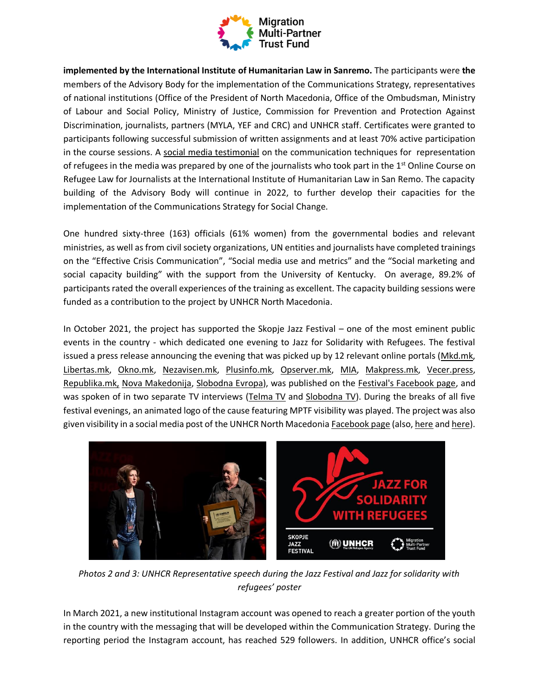

**implemented by the International Institute of Humanitarian Law in Sanremo.** The participants were **the**  members of the Advisory Body for the implementation of the Communications Strategy, representatives of national institutions (Office of the President of North Macedonia, Office of the Ombudsman, Ministry of Labour and Social Policy, Ministry of Justice, Commission for Prevention and Protection Against Discrimination, journalists, partners (MYLA, YEF and CRC) and UNHCR staff. Certificates were granted to participants following successful submission of written assignments and at least 70% active participation in the course sessions. A [social media testimonial](https://www.facebook.com/UNHCRSkopje1/posts/4335272736550770) on the communication techniques for representation of refugees in the media was prepared by one of the journalists who took part in the  $1<sup>st</sup>$  Online Course on Refugee Law for Journalists at the International Institute of Humanitarian Law in San Remo. The capacity building of the Advisory Body will continue in 2022, to further develop their capacities for the implementation of the Communications Strategy for Social Change.

One hundred sixty-three (163) officials (61% women) from the governmental bodies and relevant ministries, as well as from civil society organizations, UN entities and journalists have completed trainings on the "Effective Crisis Communication", "Social media use and metrics" and the "Social marketing and social capacity building" with the support from the University of Kentucky. On average, 89.2% of participants rated the overall experiences of the training as excellent. The capacity building sessions were funded as a contribution to the project by UNHCR North Macedonia.

In October 2021, the project has supported the Skopje Jazz Festival – one of the most eminent public events in the country - which dedicated one evening to Jazz for Solidarity with Refugees. The festival issued a press release announcing the evening that was picked up by 12 relevant online portals [\(Mkd.mk,](https://www.mkd.mk/kultura/muzika/vecher-na-skopskiot-dzhez-festival-posvetena-na-na-solidarnosta-so-begalcite?fbclid=IwAR1N4_9FP_0oQGUtW9Gahh0r6J-u8e1NMH9arlx9fKf8LVm405q_G3mQu58) [Libertas.mk,](https://libertas.mk/vecher-na-skopskiot-ez-festival-posvetena-na-solidarnosta-so-begalcite/?fbclid=IwAR0K5-Kh9ti-45Uh2awBZ7REe3b-PAQOqs_eeZ7OwCR1FJPewTAxrChTZ60) [Okno.mk,](https://okno.mk/node/91196?fbclid=IwAR10kbAuiLq1FQJrP_Wr6YCox2cb-imRPqqFkFmVULAeI0mTlTTS9BqJHJw) [Nezavisen.mk,](https://nezavisen.mk/vecher-na-skopskiot-dzhez-festival-posvetena-na-solidarnosta-so-begalcite/?fbclid=IwAR082YOW4_h9IEidsVfdvXZjUwDM8lbwJmqV8RDPOPeRel53hXu4LL4qGME) [Plusinfo.mk,](https://plusinfo.mk/vecherva-na-skopskiot-ez-festival-vecher-naposvetena-na-solidarnosta-na-begalcite/?fbclid=IwAR3mT-wd-fcrFalPR-MyQy-MX2mRVBd6KcUbqE2HfZLhbw_vXsKtamchYGg) [Opserver.mk,](https://opserver.mk/kultura/vecher-na-skopskiot-dzhez-festival-posvetena-na-solidarnosta-na-begalcite/?fbclid=IwAR1N4_9FP_0oQGUtW9Gahh0r6J-u8e1NMH9arlx9fKf8LVm405q_G3mQu58) [MIA,](https://shqen.mia.mk/skopje-jazz-festival-evening-dedicated-to-solidarity-with-refugees/?fbclid=IwAR1AVanjtPAUU5CbhkY_wMWL8-s4x0LBKA1N_c2fxL2AQFaVZS_jg4RFgUw) [Makpress.mk,](https://makpress.mk/Home/PostDetails?PostId=437555&fbclid=IwAR3F6WRfkgShKIetFxeYG54GmvYvVhQtyt0vY8Llsr0BgPyR6Eis4a3KHe4) [Vecer.press,](https://www.vecer.press/%D1%81%D0%BA%D0%BE%D0%BF%D1%81%D0%BA%D0%B8-%D1%9F%D0%B5%D0%B7-%D1%84%D0%B5%D1%81%D1%82%D0%B8%D0%B2%D0%B0%D0%BB%D0%B2%D0%B5%D1%87%D0%B5%D1%80-%D0%BF%D0%BE%D1%81%D0%B2%D0%B5%D1%82%D0%B5%D0%BD%D0%B0/?fbclid=IwAR19oW9vOHNVKC73NaXZJTo2XxgJKg87ysZaVhnQBgHNngRPagYKRhcI2rc) [Republika.mk,](https://republika.mk/vesti/kultura/vecher-na-skopskiot-dzez-festival-posvetena-na-solidarnosta-so-begalcite/?fbclid=IwAR2NZqQ8bG6RlxyVlHasKGNLZfOuKJu7IwWaiRdveIRdFchg2tvF7dtNq3M) [Nova Makedonija,](https://www.novamakedonija.com.mk/zivot/magazin/%D1%98%D1%83%D0%B1%D0%B8%D0%BB%D0%B5%D1%98-%D0%BF%D1%80%D0%BE%D1%81%D0%BB%D0%B0%D0%B2%D0%B5%D0%BD-%D1%81%D0%BE-%D0%B8%D1%81%D0%BA%D0%BB%D1%83%D1%87%D0%B8%D1%82%D0%B5%D0%BB%D0%B5%D0%BD-%D1%9F%D0%B5/?fbclid=IwAR0TDZt4VtFDg-vwJnLJjVmriCTdkRU4kNQnFn38F8K7LLkcLJfE9WlxGhg) [Slobodna Evropa\)](https://www.slobodnaevropa.mk/a/%d1%87%d0%b5%d1%82%d0%b8%d1%80%d0%b8%d1%82%d0%b5-%d0%b4%d0%b5%d1%86%d0%b5%d0%bd%d0%b8%d0%b8-%d0%bd%d0%b0-%d1%84%d0%b5%d0%bd%d0%be%d0%bc%d0%b5%d0%bd%d0%be%d1%82-%d1%81%d0%ba%d0%be%d0%bf%d1%98%d0%b5-%d1%9f%d0%b5%d0%b7-%d1%84%d0%b5%d1%81%d1%82%d0%b8%d0%b2%d0%b0%d0%bb/31530344.html?fbclid=IwAR1N8H8Oi720cQNetqsCYJxTx4VGSM2XwCMwpH5AiX18bVQwso4S5htlxnE), was published on the [Festival's Facebook page,](https://www.facebook.com/skopjejazzfest/posts/4003958549706028) and was spoken of in two separate TV interviews [\(Telma TV](https://www.youtube.com/watch?v=9Z4hrHdfaAA) and [Slobodna TV\)](https://www.youtube.com/watch?v=zQSj0PLE2HQ). During the breaks of all five festival evenings, an animated logo of the cause featuring MPTF visibility was played. The project was also given visibility in a social media post of the UNHCR North Macedonia [Facebook page](https://www.facebook.com/UNHCRSkopje1/posts/4375770729167637) (also[, here](https://www.facebook.com/UNHCRSkopje1/posts/4359760714101972) an[d here\)](https://www.facebook.com/UNHCRSkopje1/posts/4354066948004682).



*Photos 2 and 3: UNHCR Representative speech during the Jazz Festival and Jazz for solidarity with refugees' poster*

In March 2021, a new institutional Instagram account was opened to reach a greater portion of the youth in the country with the messaging that will be developed within the Communication Strategy. During the reporting period the Instagram account, has reached 529 followers. In addition, UNHCR office's social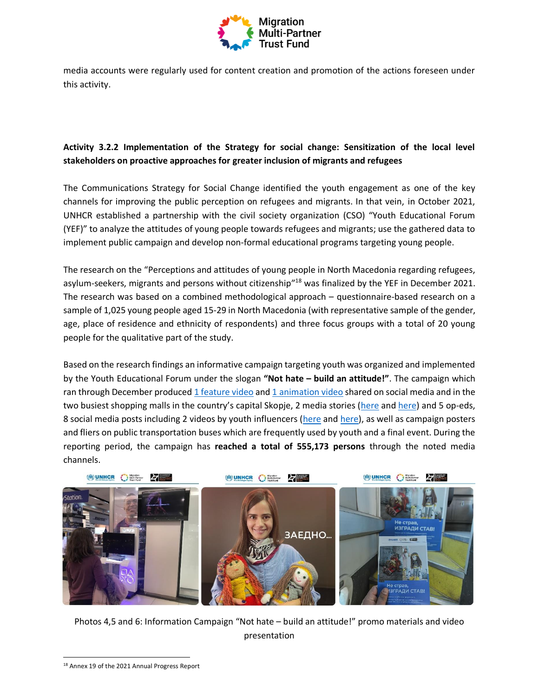

media accounts were regularly used for content creation and promotion of the actions foreseen under this activity.

# **Activity 3.2.2 Implementation of the Strategy for social change: Sensitization of the local level stakeholders on proactive approaches for greater inclusion of migrants and refugees**

The Communications Strategy for Social Change identified the youth engagement as one of the key channels for improving the public perception on refugees and migrants. In that vein, in October 2021, UNHCR established a partnership with the civil society organization (CSO) "Youth Educational Forum (YEF)" to analyze the attitudes of young people towards refugees and migrants; use the gathered data to implement public campaign and develop non-formal educational programs targeting young people.

The research on the "Perceptions and attitudes of young people in North Macedonia regarding refugees, asylum-seekers, migrants and persons without citizenship<sup>18</sup> was finalized by the YEF in December 2021. The research was based on a combined methodological approach – questionnaire-based research on a sample of 1,025 young people aged 15-29 in North Macedonia (with representative sample of the gender, age, place of residence and ethnicity of respondents) and three focus groups with a total of 20 young people for the qualitative part of the study.

Based on the research findings an informative campaign targeting youth was organized and implemented by the Youth Educational Forum under the slogan **"Not hate – build an attitude!"**. The campaign which ran through December produce[d 1 feature video](https://www.facebook.com/MOFedu/videos/230287689119137) an[d 1 animation video](https://www.facebook.com/MOFedu/posts/10159802570120960) shared on social media and in the two busiest shopping malls in the country's capital Skopje, 2 media stories ([here](https://www.radiomof.mk/krpen-zhivot-bez-dokumenti/) an[d here\)](https://www.radiomof.mk/mafidonija-ili-makedonija-begalcite-obespraveni-od-sistemot-i-zhrtvi-na-kriumchari/) and 5 op-eds, 8 social media posts including 2 videos by youth influencers (here an[d here\)](https://www.tiktok.com/@dinevv/video/7043815559972146437?lang=en&is_copy_url=1&is_from_webapp=v1), as well as campaign posters and fliers on public transportation buses which are frequently used by youth and a final event. During the reporting period, the campaign has **reached a total of 555,173 persons** through the noted media channels.



Photos 4,5 and 6: Information Campaign "Not hate – build an attitude!" promo materials and video presentation

<sup>18</sup> Annex 19 of the 2021 Annual Progress Report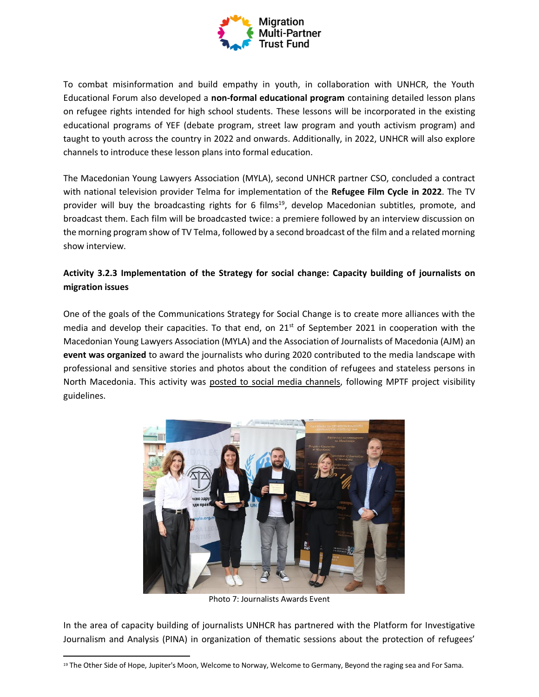

To combat misinformation and build empathy in youth, in collaboration with UNHCR, the Youth Educational Forum also developed a **non-formal educational program** containing detailed lesson plans on refugee rights intended for high school students. These lessons will be incorporated in the existing educational programs of YEF (debate program, street law program and youth activism program) and taught to youth across the country in 2022 and onwards. Additionally, in 2022, UNHCR will also explore channels to introduce these lesson plans into formal education.

The Macedonian Young Lawyers Association (MYLA), second UNHCR partner CSO, concluded a contract with national television provider Telma for implementation of the **Refugee Film Cycle in 2022**. The TV provider will buy the broadcasting rights for 6 films<sup>19</sup>, develop Macedonian subtitles, promote, and broadcast them. Each film will be broadcasted twice: a premiere followed by an interview discussion on the morning program show of TV Telma, followed by a second broadcast of the film and a related morning show interview.

## **Activity 3.2.3 Implementation of the Strategy for social change: Capacity building of journalists on migration issues**

One of the goals of the Communications Strategy for Social Change is to create more alliances with the media and develop their capacities. To that end, on  $21<sup>st</sup>$  of September 2021 in cooperation with the Macedonian Young Lawyers Association (MYLA) and the Association of Journalists of Macedonia (АЈМ) an **event was organized** to award the journalists who during 2020 contributed to the media landscape with professional and sensitive stories and photos about the condition of refugees and stateless persons in North Macedonia. This activity was [posted to social media channels,](https://www.facebook.com/UNHCRSkopje1/posts/4259436137467764) following MPTF project visibility guidelines.



Photo 7: Journalists Awards Event

In the area of capacity building of journalists UNHCR has partnered with the Platform for Investigative Journalism and Analysis (PINA) in organization of thematic sessions about the protection of refugees'

<sup>19</sup> The Other Side of Hope, Jupiter's Moon, Welcome to Norway, Welcome to Germany, Beyond the raging sea and For Sama.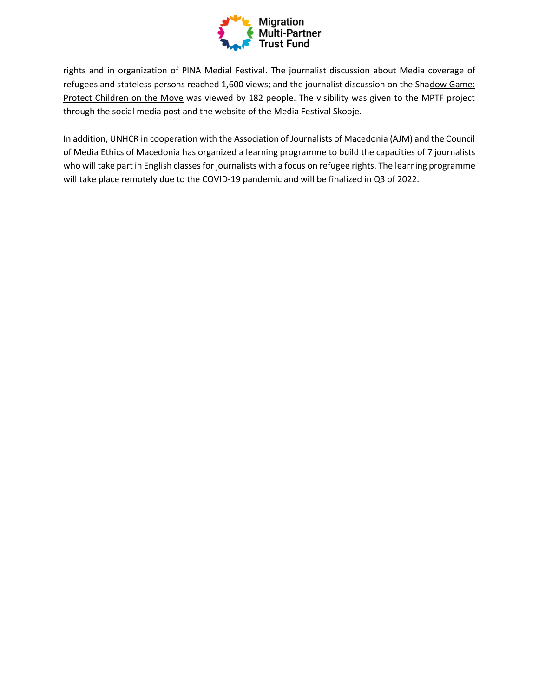

rights and in organization of PINA Medial Festival. The journalist discussion about Media coverage of refugees and stateless persons reached 1,600 views; and the journalist discussion on the Shadow Game: [Protect Children on the Move](https://mfs.mk/mfs_programi/shadow-game-protect-children-on-the-move/) was viewed by 182 people. The visibility was given to the MPTF project through the [social media post a](https://www.facebook.com/UNHCRSkopje1/posts/4306257526118958)nd the [website](https://mfs.mk/mfs_programi/shadow-game-protect-children-on-the-move/) of the Media Festival Skopje.

In addition, UNHCR in cooperation with the Association of Journalists of Macedonia (AJM) and the Council of Media Ethics of Macedonia has organized a learning programme to build the capacities of 7 journalists who will take part in English classes for journalists with a focus on refugee rights. The learning programme will take place remotely due to the COVID-19 pandemic and will be finalized in Q3 of 2022.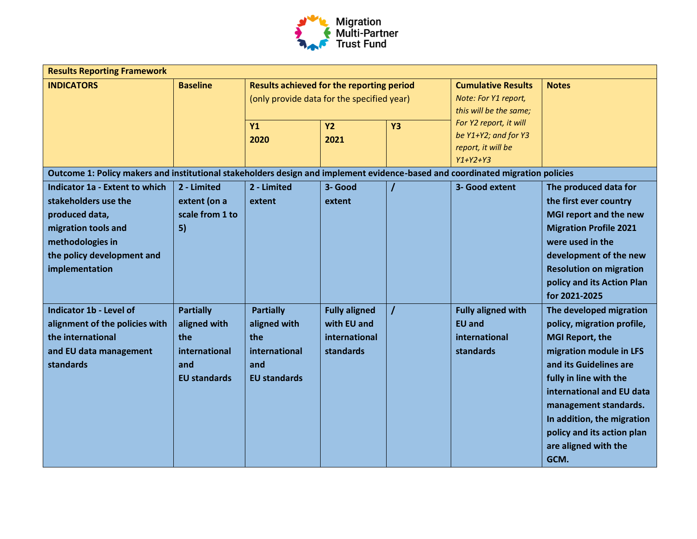

| <b>Results Reporting Framework</b>                                                                                                                                         |                                                                                        |                                                                                                |                                                                   |                |                                                                                    |                                                                                                                                                                                                                                                                                                                  |  |  |
|----------------------------------------------------------------------------------------------------------------------------------------------------------------------------|----------------------------------------------------------------------------------------|------------------------------------------------------------------------------------------------|-------------------------------------------------------------------|----------------|------------------------------------------------------------------------------------|------------------------------------------------------------------------------------------------------------------------------------------------------------------------------------------------------------------------------------------------------------------------------------------------------------------|--|--|
| <b>INDICATORS</b>                                                                                                                                                          | <b>Baseline</b>                                                                        | <b>Results achieved for the reporting period</b><br>(only provide data for the specified year) |                                                                   |                | <b>Cumulative Results</b><br>Note: For Y1 report,<br>this will be the same;        | <b>Notes</b>                                                                                                                                                                                                                                                                                                     |  |  |
|                                                                                                                                                                            |                                                                                        | Y1<br>2020                                                                                     | <b>Y2</b><br>2021                                                 | <b>Y3</b>      | For Y2 report, it will<br>be Y1+Y2; and for Y3<br>report, it will be<br>$Y1+Y2+Y3$ |                                                                                                                                                                                                                                                                                                                  |  |  |
| Outcome 1: Policy makers and institutional stakeholders design and implement evidence-based and coordinated migration policies                                             |                                                                                        |                                                                                                |                                                                   |                |                                                                                    |                                                                                                                                                                                                                                                                                                                  |  |  |
| <b>Indicator 1a - Extent to which</b><br>stakeholders use the<br>produced data,<br>migration tools and<br>methodologies in<br>the policy development and<br>implementation | 2 - Limited<br>extent (on a<br>scale from 1 to<br>5)                                   | 2 - Limited<br>extent                                                                          | 3- Good<br>extent                                                 | $\overline{I}$ | 3- Good extent                                                                     | The produced data for<br>the first ever country<br>MGI report and the new<br><b>Migration Profile 2021</b><br>were used in the<br>development of the new<br><b>Resolution on migration</b><br>policy and its Action Plan<br>for 2021-2025                                                                        |  |  |
| Indicator 1b - Level of<br>alignment of the policies with<br>the international<br>and EU data management<br>standards                                                      | <b>Partially</b><br>aligned with<br>the<br>international<br>and<br><b>EU standards</b> | <b>Partially</b><br>aligned with<br>the<br>international<br>and<br><b>EU standards</b>         | <b>Fully aligned</b><br>with EU and<br>international<br>standards | $\prime$       | <b>Fully aligned with</b><br><b>EU and</b><br>international<br>standards           | The developed migration<br>policy, migration profile,<br><b>MGI Report, the</b><br>migration module in LFS<br>and its Guidelines are<br>fully in line with the<br>international and EU data<br>management standards.<br>In addition, the migration<br>policy and its action plan<br>are aligned with the<br>GCM. |  |  |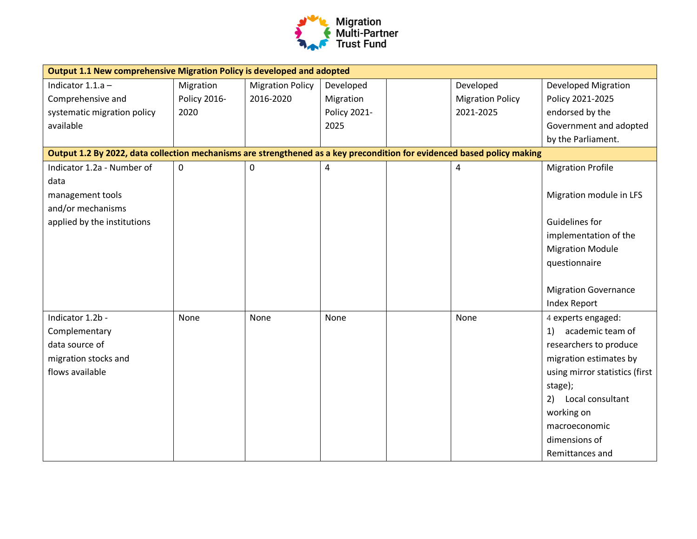

| Output 1.1 New comprehensive Migration Policy is developed and adopted                                                  |              |                         |                |  |                         |                                |  |
|-------------------------------------------------------------------------------------------------------------------------|--------------|-------------------------|----------------|--|-------------------------|--------------------------------|--|
| Indicator $1.1.a -$                                                                                                     | Migration    | <b>Migration Policy</b> | Developed      |  | Developed               | <b>Developed Migration</b>     |  |
| Comprehensive and                                                                                                       | Policy 2016- | 2016-2020               | Migration      |  | <b>Migration Policy</b> | Policy 2021-2025               |  |
| systematic migration policy                                                                                             | 2020         |                         | Policy 2021-   |  | 2021-2025               | endorsed by the                |  |
| available                                                                                                               |              |                         | 2025           |  |                         | Government and adopted         |  |
|                                                                                                                         |              |                         |                |  |                         | by the Parliament.             |  |
| Output 1.2 By 2022, data collection mechanisms are strengthened as a key precondition for evidenced based policy making |              |                         |                |  |                         |                                |  |
| Indicator 1.2a - Number of                                                                                              | $\mathbf 0$  | 0                       | $\overline{4}$ |  | 4                       | <b>Migration Profile</b>       |  |
| data                                                                                                                    |              |                         |                |  |                         |                                |  |
| management tools                                                                                                        |              |                         |                |  |                         | Migration module in LFS        |  |
| and/or mechanisms                                                                                                       |              |                         |                |  |                         |                                |  |
| applied by the institutions                                                                                             |              |                         |                |  |                         | Guidelines for                 |  |
|                                                                                                                         |              |                         |                |  |                         | implementation of the          |  |
|                                                                                                                         |              |                         |                |  |                         | <b>Migration Module</b>        |  |
|                                                                                                                         |              |                         |                |  |                         | questionnaire                  |  |
|                                                                                                                         |              |                         |                |  |                         |                                |  |
|                                                                                                                         |              |                         |                |  |                         | <b>Migration Governance</b>    |  |
|                                                                                                                         |              |                         |                |  |                         | <b>Index Report</b>            |  |
| Indicator 1.2b -                                                                                                        | None         | None                    | None           |  | None                    | 4 experts engaged:             |  |
| Complementary                                                                                                           |              |                         |                |  |                         | 1) academic team of            |  |
| data source of                                                                                                          |              |                         |                |  |                         | researchers to produce         |  |
| migration stocks and                                                                                                    |              |                         |                |  |                         | migration estimates by         |  |
| flows available                                                                                                         |              |                         |                |  |                         | using mirror statistics (first |  |
|                                                                                                                         |              |                         |                |  |                         | stage);                        |  |
|                                                                                                                         |              |                         |                |  |                         | 2) Local consultant            |  |
|                                                                                                                         |              |                         |                |  |                         | working on                     |  |
|                                                                                                                         |              |                         |                |  |                         | macroeconomic                  |  |
|                                                                                                                         |              |                         |                |  |                         | dimensions of                  |  |
|                                                                                                                         |              |                         |                |  |                         | Remittances and                |  |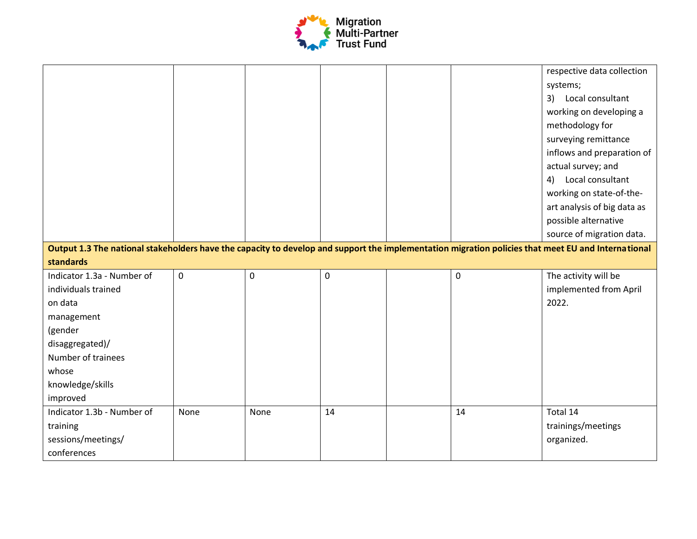

|                                                                                                                                                    |             |      |             |    | respective data collection  |
|----------------------------------------------------------------------------------------------------------------------------------------------------|-------------|------|-------------|----|-----------------------------|
|                                                                                                                                                    |             |      |             |    | systems;                    |
|                                                                                                                                                    |             |      |             |    | 3) Local consultant         |
|                                                                                                                                                    |             |      |             |    | working on developing a     |
|                                                                                                                                                    |             |      |             |    | methodology for             |
|                                                                                                                                                    |             |      |             |    | surveying remittance        |
|                                                                                                                                                    |             |      |             |    | inflows and preparation of  |
|                                                                                                                                                    |             |      |             |    | actual survey; and          |
|                                                                                                                                                    |             |      |             |    | Local consultant<br>4)      |
|                                                                                                                                                    |             |      |             |    | working on state-of-the-    |
|                                                                                                                                                    |             |      |             |    | art analysis of big data as |
|                                                                                                                                                    |             |      |             |    | possible alternative        |
|                                                                                                                                                    |             |      |             |    | source of migration data.   |
| Output 1.3 The national stakeholders have the capacity to develop and support the implementation migration policies that meet EU and International |             |      |             |    |                             |
| standards                                                                                                                                          |             |      |             |    |                             |
| Indicator 1.3a - Number of                                                                                                                         | $\mathbf 0$ | 0    | $\mathbf 0$ | 0  | The activity will be        |
|                                                                                                                                                    |             |      |             |    |                             |
| individuals trained                                                                                                                                |             |      |             |    | implemented from April      |
| on data                                                                                                                                            |             |      |             |    | 2022.                       |
| management                                                                                                                                         |             |      |             |    |                             |
| (gender                                                                                                                                            |             |      |             |    |                             |
| disaggregated)/                                                                                                                                    |             |      |             |    |                             |
| Number of trainees                                                                                                                                 |             |      |             |    |                             |
| whose                                                                                                                                              |             |      |             |    |                             |
| knowledge/skills                                                                                                                                   |             |      |             |    |                             |
| improved                                                                                                                                           |             |      |             |    |                             |
| Indicator 1.3b - Number of                                                                                                                         | None        | None | 14          | 14 | Total 14                    |
| training                                                                                                                                           |             |      |             |    | trainings/meetings          |
| sessions/meetings/                                                                                                                                 |             |      |             |    | organized.                  |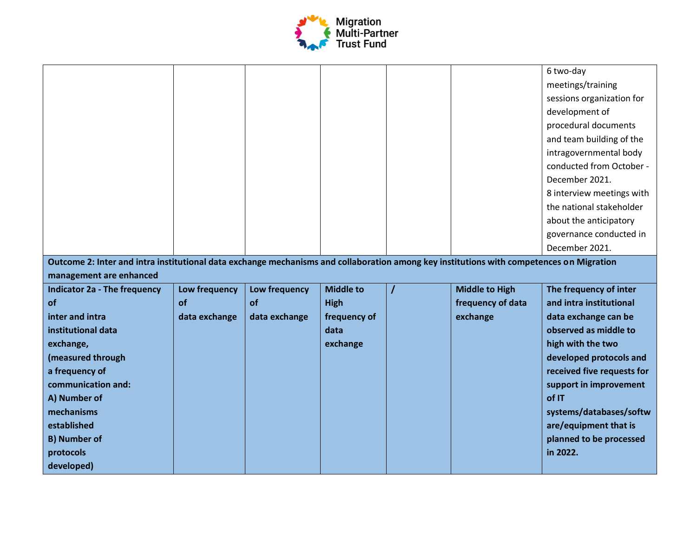

| Outcome 2: Inter and intra institutional data exchange mechanisms and collaboration among key institutions with competences on Migration |               |               |                  |   |                       | 6 two-day<br>meetings/training<br>sessions organization for<br>development of<br>procedural documents<br>and team building of the<br>intragovernmental body<br>conducted from October -<br>December 2021.<br>8 interview meetings with<br>the national stakeholder<br>about the anticipatory<br>governance conducted in<br>December 2021. |
|------------------------------------------------------------------------------------------------------------------------------------------|---------------|---------------|------------------|---|-----------------------|-------------------------------------------------------------------------------------------------------------------------------------------------------------------------------------------------------------------------------------------------------------------------------------------------------------------------------------------|
| management are enhanced<br><b>Indicator 2a - The frequency</b>                                                                           | Low frequency | Low frequency | <b>Middle to</b> | I | <b>Middle to High</b> | The frequency of inter                                                                                                                                                                                                                                                                                                                    |
| of                                                                                                                                       | of            | of            | <b>High</b>      |   | frequency of data     | and intra institutional                                                                                                                                                                                                                                                                                                                   |
| inter and intra                                                                                                                          | data exchange | data exchange | frequency of     |   | exchange              | data exchange can be                                                                                                                                                                                                                                                                                                                      |
| institutional data                                                                                                                       |               |               | data             |   |                       | observed as middle to                                                                                                                                                                                                                                                                                                                     |
| exchange,                                                                                                                                |               |               | exchange         |   |                       | high with the two                                                                                                                                                                                                                                                                                                                         |
| (measured through                                                                                                                        |               |               |                  |   |                       | developed protocols and                                                                                                                                                                                                                                                                                                                   |
| a frequency of                                                                                                                           |               |               |                  |   |                       | received five requests for                                                                                                                                                                                                                                                                                                                |
| communication and:                                                                                                                       |               |               |                  |   |                       | support in improvement                                                                                                                                                                                                                                                                                                                    |
| A) Number of<br>mechanisms                                                                                                               |               |               |                  |   |                       | of IT<br>systems/databases/softw                                                                                                                                                                                                                                                                                                          |
| established                                                                                                                              |               |               |                  |   |                       | are/equipment that is                                                                                                                                                                                                                                                                                                                     |
| <b>B) Number of</b>                                                                                                                      |               |               |                  |   |                       | planned to be processed                                                                                                                                                                                                                                                                                                                   |
| protocols                                                                                                                                |               |               |                  |   |                       | in 2022.                                                                                                                                                                                                                                                                                                                                  |
| developed)                                                                                                                               |               |               |                  |   |                       |                                                                                                                                                                                                                                                                                                                                           |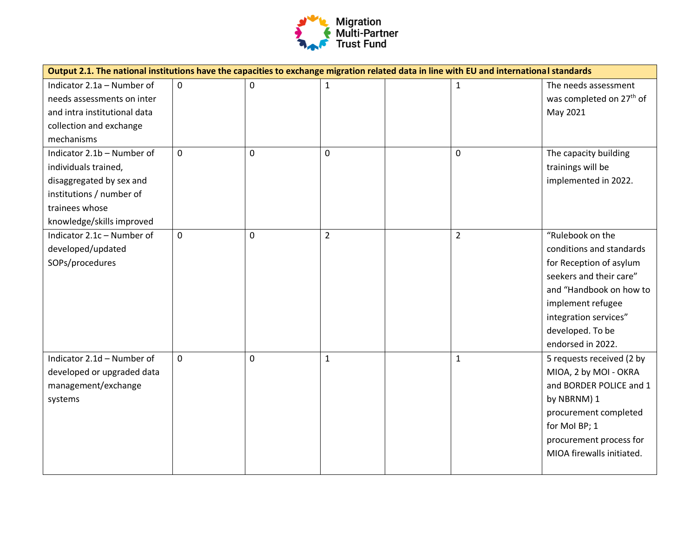

| Output 2.1. The national institutions have the capacities to exchange migration related data in line with EU and international standards |             |   |                |  |                |                                                              |
|------------------------------------------------------------------------------------------------------------------------------------------|-------------|---|----------------|--|----------------|--------------------------------------------------------------|
| Indicator 2.1a - Number of<br>needs assessments on inter                                                                                 | $\mathbf 0$ | 0 | $\mathbf{1}$   |  | $\mathbf{1}$   | The needs assessment<br>was completed on 27 <sup>th</sup> of |
| and intra institutional data                                                                                                             |             |   |                |  |                | May 2021                                                     |
| collection and exchange                                                                                                                  |             |   |                |  |                |                                                              |
| mechanisms                                                                                                                               |             |   |                |  |                |                                                              |
| Indicator 2.1b - Number of                                                                                                               | 0           | 0 | $\mathbf 0$    |  | 0              | The capacity building                                        |
| individuals trained,                                                                                                                     |             |   |                |  |                | trainings will be                                            |
| disaggregated by sex and                                                                                                                 |             |   |                |  |                | implemented in 2022.                                         |
| institutions / number of                                                                                                                 |             |   |                |  |                |                                                              |
| trainees whose                                                                                                                           |             |   |                |  |                |                                                              |
| knowledge/skills improved                                                                                                                |             |   |                |  |                |                                                              |
| Indicator 2.1c - Number of                                                                                                               | 0           | 0 | $\overline{2}$ |  | $\overline{2}$ | "Rulebook on the                                             |
| developed/updated                                                                                                                        |             |   |                |  |                | conditions and standards                                     |
| SOPs/procedures                                                                                                                          |             |   |                |  |                | for Reception of asylum                                      |
|                                                                                                                                          |             |   |                |  |                | seekers and their care"                                      |
|                                                                                                                                          |             |   |                |  |                | and "Handbook on how to                                      |
|                                                                                                                                          |             |   |                |  |                | implement refugee                                            |
|                                                                                                                                          |             |   |                |  |                | integration services"                                        |
|                                                                                                                                          |             |   |                |  |                | developed. To be                                             |
|                                                                                                                                          |             |   |                |  |                | endorsed in 2022.                                            |
| Indicator 2.1d - Number of                                                                                                               | 0           | 0 | $\mathbf 1$    |  | $\mathbf{1}$   | 5 requests received (2 by                                    |
| developed or upgraded data                                                                                                               |             |   |                |  |                | MIOA, 2 by MOI - OKRA                                        |
| management/exchange                                                                                                                      |             |   |                |  |                | and BORDER POLICE and 1                                      |
| systems                                                                                                                                  |             |   |                |  |                | by NBRNM) 1                                                  |
|                                                                                                                                          |             |   |                |  |                | procurement completed                                        |
|                                                                                                                                          |             |   |                |  |                | for Mol BP; 1                                                |
|                                                                                                                                          |             |   |                |  |                | procurement process for                                      |
|                                                                                                                                          |             |   |                |  |                | MIOA firewalls initiated.                                    |
|                                                                                                                                          |             |   |                |  |                |                                                              |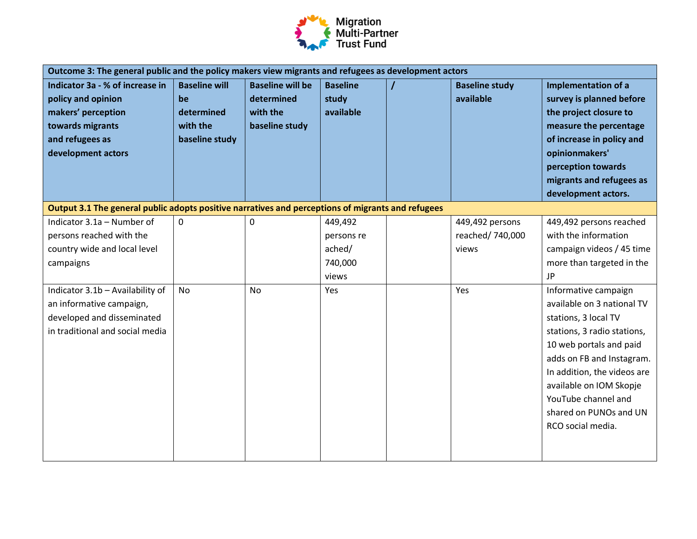

| Indicator 3a - % of increase in<br><b>Baseline will be</b><br><b>Baseline will</b><br><b>Baseline</b><br><b>Baseline study</b><br>Implementation of a<br>available<br>policy and opinion<br>determined<br>study<br>survey is planned before<br>be<br>makers' perception<br>determined<br>with the<br>available<br>the project closure to<br>towards migrants<br>with the<br>baseline study<br>measure the percentage<br>baseline study<br>of increase in policy and<br>and refugees as<br>development actors<br>opinionmakers'<br>perception towards<br>migrants and refugees as<br>development actors.<br>Output 3.1 The general public adopts positive narratives and perceptions of migrants and refugees<br>Indicator 3.1a - Number of<br>$\pmb{0}$<br>449,492<br>449,492 persons reached<br>0<br>449,492 persons<br>with the information<br>persons reached with the<br>reached/ 740,000<br>persons re<br>country wide and local level<br>ached/<br>campaign videos / 45 time<br>views<br>740,000<br>more than targeted in the<br>campaigns<br><b>JP</b><br>views<br>Indicator 3.1b - Availability of<br><b>No</b><br>Yes<br><b>No</b><br>Yes<br>Informative campaign<br>available on 3 national TV<br>an informative campaign,<br>developed and disseminated<br>stations, 3 local TV<br>in traditional and social media<br>stations, 3 radio stations,<br>10 web portals and paid<br>adds on FB and Instagram.<br>In addition, the videos are<br>available on IOM Skopje<br>YouTube channel and<br>shared on PUNOs and UN | Outcome 3: The general public and the policy makers view migrants and refugees as development actors |  |  |  |  |  |  |
|---------------------------------------------------------------------------------------------------------------------------------------------------------------------------------------------------------------------------------------------------------------------------------------------------------------------------------------------------------------------------------------------------------------------------------------------------------------------------------------------------------------------------------------------------------------------------------------------------------------------------------------------------------------------------------------------------------------------------------------------------------------------------------------------------------------------------------------------------------------------------------------------------------------------------------------------------------------------------------------------------------------------------------------------------------------------------------------------------------------------------------------------------------------------------------------------------------------------------------------------------------------------------------------------------------------------------------------------------------------------------------------------------------------------------------------------------------------------------------------------------------------------------------|------------------------------------------------------------------------------------------------------|--|--|--|--|--|--|
|                                                                                                                                                                                                                                                                                                                                                                                                                                                                                                                                                                                                                                                                                                                                                                                                                                                                                                                                                                                                                                                                                                                                                                                                                                                                                                                                                                                                                                                                                                                                 |                                                                                                      |  |  |  |  |  |  |
|                                                                                                                                                                                                                                                                                                                                                                                                                                                                                                                                                                                                                                                                                                                                                                                                                                                                                                                                                                                                                                                                                                                                                                                                                                                                                                                                                                                                                                                                                                                                 |                                                                                                      |  |  |  |  |  |  |
| RCO social media.                                                                                                                                                                                                                                                                                                                                                                                                                                                                                                                                                                                                                                                                                                                                                                                                                                                                                                                                                                                                                                                                                                                                                                                                                                                                                                                                                                                                                                                                                                               |                                                                                                      |  |  |  |  |  |  |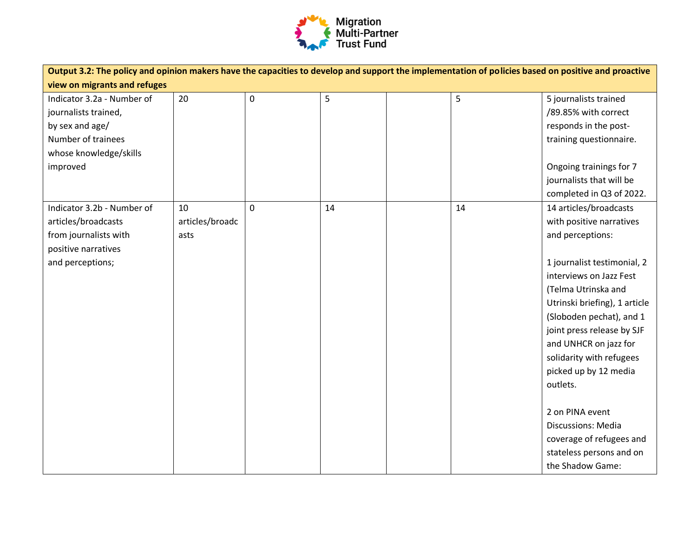

| Output 3.2: The policy and opinion makers have the capacities to develop and support the implementation of policies based on positive and proactive |                 |             |    |  |    |                               |
|-----------------------------------------------------------------------------------------------------------------------------------------------------|-----------------|-------------|----|--|----|-------------------------------|
| view on migrants and refuges                                                                                                                        |                 |             |    |  |    |                               |
| Indicator 3.2a - Number of                                                                                                                          | 20              | $\pmb{0}$   | 5  |  | 5  | 5 journalists trained         |
| journalists trained,                                                                                                                                |                 |             |    |  |    | /89.85% with correct          |
| by sex and age/                                                                                                                                     |                 |             |    |  |    | responds in the post-         |
| Number of trainees                                                                                                                                  |                 |             |    |  |    | training questionnaire.       |
| whose knowledge/skills                                                                                                                              |                 |             |    |  |    |                               |
| improved                                                                                                                                            |                 |             |    |  |    | Ongoing trainings for 7       |
|                                                                                                                                                     |                 |             |    |  |    | journalists that will be      |
|                                                                                                                                                     |                 |             |    |  |    | completed in Q3 of 2022.      |
| Indicator 3.2b - Number of                                                                                                                          | 10              | $\mathbf 0$ | 14 |  | 14 | 14 articles/broadcasts        |
| articles/broadcasts                                                                                                                                 | articles/broadc |             |    |  |    | with positive narratives      |
| from journalists with                                                                                                                               | asts            |             |    |  |    | and perceptions:              |
| positive narratives                                                                                                                                 |                 |             |    |  |    |                               |
| and perceptions;                                                                                                                                    |                 |             |    |  |    | 1 journalist testimonial, 2   |
|                                                                                                                                                     |                 |             |    |  |    | interviews on Jazz Fest       |
|                                                                                                                                                     |                 |             |    |  |    | (Telma Utrinska and           |
|                                                                                                                                                     |                 |             |    |  |    | Utrinski briefing), 1 article |
|                                                                                                                                                     |                 |             |    |  |    | (Sloboden pechat), and 1      |
|                                                                                                                                                     |                 |             |    |  |    | joint press release by SJF    |
|                                                                                                                                                     |                 |             |    |  |    | and UNHCR on jazz for         |
|                                                                                                                                                     |                 |             |    |  |    | solidarity with refugees      |
|                                                                                                                                                     |                 |             |    |  |    | picked up by 12 media         |
|                                                                                                                                                     |                 |             |    |  |    | outlets.                      |
|                                                                                                                                                     |                 |             |    |  |    |                               |
|                                                                                                                                                     |                 |             |    |  |    | 2 on PINA event               |
|                                                                                                                                                     |                 |             |    |  |    | Discussions: Media            |
|                                                                                                                                                     |                 |             |    |  |    | coverage of refugees and      |
|                                                                                                                                                     |                 |             |    |  |    | stateless persons and on      |
|                                                                                                                                                     |                 |             |    |  |    | the Shadow Game:              |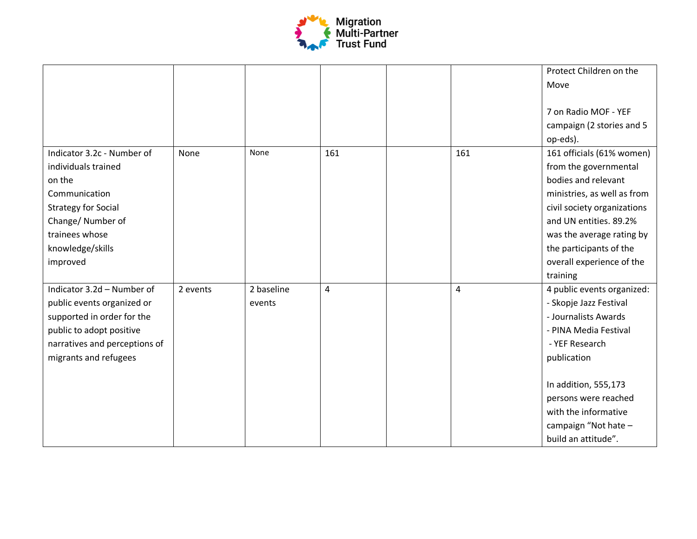

|                               |          |            |                |     | Protect Children on the               |
|-------------------------------|----------|------------|----------------|-----|---------------------------------------|
|                               |          |            |                |     | Move                                  |
|                               |          |            |                |     | 7 on Radio MOF - YEF                  |
|                               |          |            |                |     | campaign (2 stories and 5<br>op-eds). |
| Indicator 3.2c - Number of    | None     | None       | 161            | 161 | 161 officials (61% women)             |
| individuals trained           |          |            |                |     | from the governmental                 |
| on the                        |          |            |                |     | bodies and relevant                   |
| Communication                 |          |            |                |     | ministries, as well as from           |
| <b>Strategy for Social</b>    |          |            |                |     | civil society organizations           |
| Change/Number of              |          |            |                |     | and UN entities. 89.2%                |
| trainees whose                |          |            |                |     | was the average rating by             |
| knowledge/skills              |          |            |                |     | the participants of the               |
| improved                      |          |            |                |     | overall experience of the             |
|                               |          |            |                |     | training                              |
| Indicator 3.2d - Number of    | 2 events | 2 baseline | $\overline{4}$ | 4   | 4 public events organized:            |
| public events organized or    |          | events     |                |     | - Skopje Jazz Festival                |
| supported in order for the    |          |            |                |     | - Journalists Awards                  |
| public to adopt positive      |          |            |                |     | - PINA Media Festival                 |
| narratives and perceptions of |          |            |                |     | - YEF Research                        |
| migrants and refugees         |          |            |                |     | publication                           |
|                               |          |            |                |     |                                       |
|                               |          |            |                |     | In addition, 555,173                  |
|                               |          |            |                |     | persons were reached                  |
|                               |          |            |                |     | with the informative                  |
|                               |          |            |                |     | campaign "Not hate -                  |
|                               |          |            |                |     | build an attitude".                   |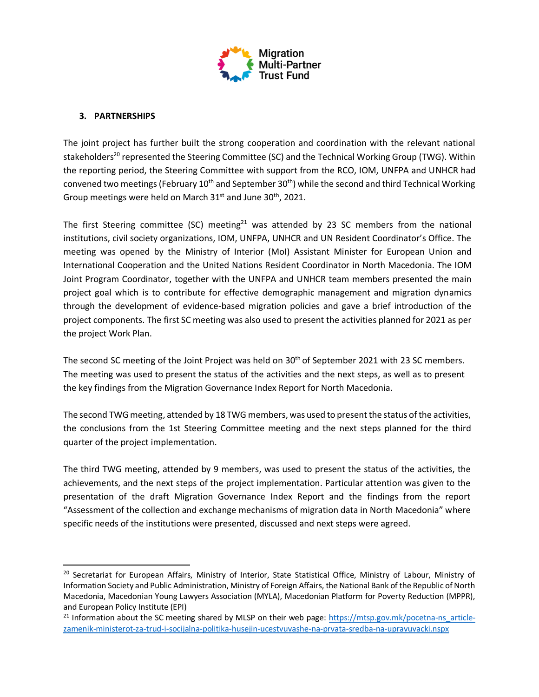

### **3. PARTNERSHIPS**

The joint project has further built the strong cooperation and coordination with the relevant national stakeholders<sup>20</sup> represented the Steering Committee (SC) and the Technical Working Group (TWG). Within the reporting period, the Steering Committee with support from the RCO, IOM, UNFPA and UNHCR had convened two meetings (February 10<sup>th</sup> and September 30<sup>th</sup>) while the second and third Technical Working Group meetings were held on March 31<sup>st</sup> and June 30<sup>th</sup>, 2021.

The first Steering committee (SC) meeting<sup>21</sup> was attended by 23 SC members from the national institutions, civil society organizations, IOM, UNFPA, UNHCR and UN Resident Coordinator's Office. The meeting was opened by the Ministry of Interior (MoI) Assistant Minister for European Union and International Cooperation and the United Nations Resident Coordinator in North Macedonia. The IOM Joint Program Coordinator, together with the UNFPA and UNHCR team members presented the main project goal which is to contribute for effective demographic management and migration dynamics through the development of evidence-based migration policies and gave a brief introduction of the project components. The first SC meeting was also used to present the activities planned for 2021 as per the project Work Plan.

The second SC meeting of the Joint Project was held on 30<sup>th</sup> of September 2021 with 23 SC members. The meeting was used to present the status of the activities and the next steps, as well as to present the key findings from the Migration Governance Index Report for North Macedonia.

The second TWG meeting, attended by 18 TWG members, was used to present the status of the activities, the conclusions from the 1st Steering Committee meeting and the next steps planned for the third quarter of the project implementation.

The third TWG meeting, attended by 9 members, was used to present the status of the activities, the achievements, and the next steps of the project implementation. Particular attention was given to the presentation of the draft Migration Governance Index Report and the findings from the report "Assessment of the collection and exchange mechanisms of migration data in North Macedonia" where specific needs of the institutions were presented, discussed and next steps were agreed.

<sup>&</sup>lt;sup>20</sup> Secretariat for European Affairs, Ministry of Interior, State Statistical Office, Ministry of Labour, Ministry of Information Society and Public Administration, Ministry of Foreign Affairs, the National Bank of the Republic of North Macedonia, Macedonian Young Lawyers Association (MYLA), Macedonian Platform for Poverty Reduction (MPPR), and European Policy Institute (EPI)

<sup>&</sup>lt;sup>21</sup> Information about the SC meeting shared by MLSP on their web page: [https://mtsp.gov.mk/pocetna-ns\\_article](https://mtsp.gov.mk/pocetna-ns_article-zamenik-ministerot-za-trud-i-socijalna-politika-husejin-ucestvuvashe-na-prvata-sredba-na-upravuvacki.nspx)[zamenik-ministerot-za-trud-i-socijalna-politika-husejin-ucestvuvashe-na-prvata-sredba-na-upravuvacki.nspx](https://mtsp.gov.mk/pocetna-ns_article-zamenik-ministerot-za-trud-i-socijalna-politika-husejin-ucestvuvashe-na-prvata-sredba-na-upravuvacki.nspx)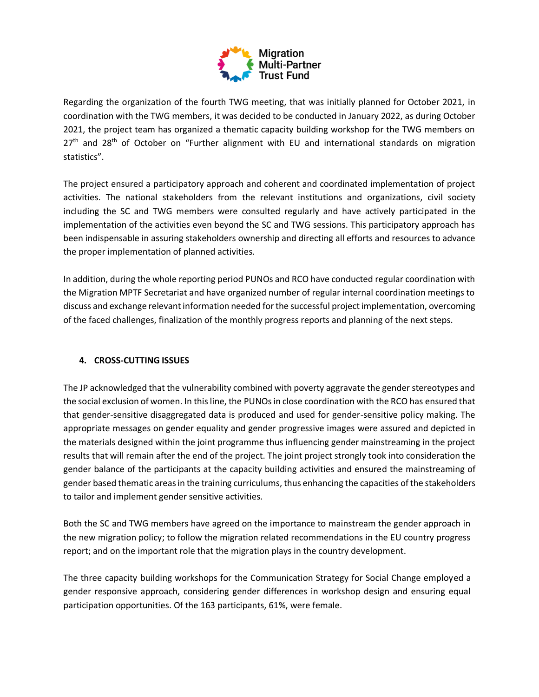

Regarding the organization of the fourth TWG meeting, that was initially planned for October 2021, in coordination with the TWG members, it was decided to be conducted in January 2022, as during October 2021, the project team has organized a thematic capacity building workshop for the TWG members on  $27<sup>th</sup>$  and  $28<sup>th</sup>$  of October on "Further alignment with EU and international standards on migration statistics".

The project ensured a participatory approach and coherent and coordinated implementation of project activities. The national stakeholders from the relevant institutions and organizations, civil society including the SC and TWG members were consulted regularly and have actively participated in the implementation of the activities even beyond the SC and TWG sessions. This participatory approach has been indispensable in assuring stakeholders ownership and directing all efforts and resources to advance the proper implementation of planned activities.

In addition, during the whole reporting period PUNOs and RCO have conducted regular coordination with the Migration MPTF Secretariat and have organized number of regular internal coordination meetings to discuss and exchange relevant information needed for the successful project implementation, overcoming of the faced challenges, finalization of the monthly progress reports and planning of the next steps.

### **4. CROSS-CUTTING ISSUES**

The JP acknowledged that the vulnerability combined with poverty aggravate the gender stereotypes and the social exclusion of women. In this line, the PUNOs in close coordination with the RCO has ensured that that gender-sensitive disaggregated data is produced and used for gender-sensitive policy making. The appropriate messages on gender equality and gender progressive images were assured and depicted in the materials designed within the joint programme thus influencing gender mainstreaming in the project results that will remain after the end of the project. The joint project strongly took into consideration the gender balance of the participants at the capacity building activities and ensured the mainstreaming of gender based thematic areas in the training curriculums, thus enhancing the capacities of the stakeholders to tailor and implement gender sensitive activities.

Both the SC and TWG members have agreed on the importance to mainstream the gender approach in the new migration policy; to follow the migration related recommendations in the EU country progress report; and on the important role that the migration plays in the country development.

The three capacity building workshops for the Communication Strategy for Social Change employed a gender responsive approach, considering gender differences in workshop design and ensuring equal participation opportunities. Of the 163 participants, 61%, were female.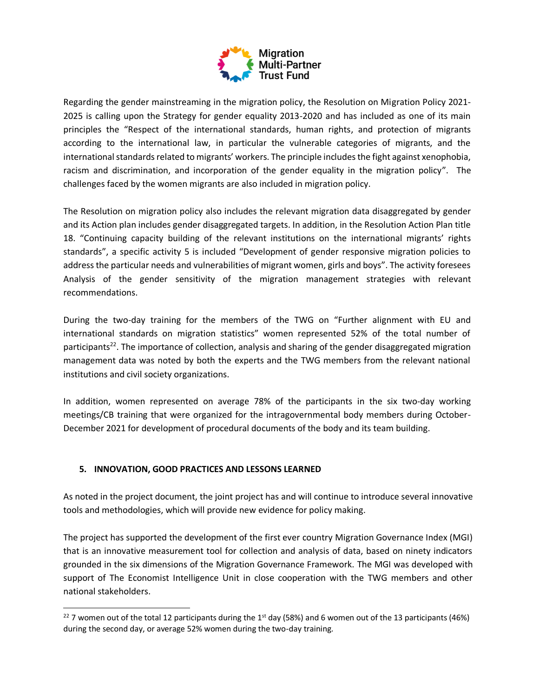

Regarding the gender mainstreaming in the migration policy, the Resolution on Migration Policy 2021- 2025 is calling upon the Strategy for gender equality 2013-2020 and has included as one of its main principles the "Respect of the international standards, human rights, and protection of migrants according to the international law, in particular the vulnerable categories of migrants, and the international standards related to migrants' workers. The principle includes the fight against xenophobia, racism and discrimination, and incorporation of the gender equality in the migration policy". The challenges faced by the women migrants are also included in migration policy.

The Resolution on migration policy also includes the relevant migration data disaggregated by gender and its Action plan includes gender disaggregated targets. In addition, in the Resolution Action Plan title 18. "Continuing capacity building of the relevant institutions on the international migrants' rights standards", a specific activity 5 is included "Development of gender responsive migration policies to address the particular needs and vulnerabilities of migrant women, girls and boys". The activity foresees Analysis of the gender sensitivity of the migration management strategies with relevant recommendations.

During the two-day training for the members of the TWG on "Further alignment with EU and international standards on migration statistics" women represented 52% of the total number of participants<sup>22</sup>. The importance of collection, analysis and sharing of the gender disaggregated migration management data was noted by both the experts and the TWG members from the relevant national institutions and civil society organizations.

In addition, women represented on average 78% of the participants in the six two-day working meetings/CB training that were organized for the intragovernmental body members during October-December 2021 for development of procedural documents of the body and its team building.

### **5. INNOVATION, GOOD PRACTICES AND LESSONS LEARNED**

As noted in the project document, the joint project has and will continue to introduce several innovative tools and methodologies, which will provide new evidence for policy making.

The project has supported the development of the first ever country Migration Governance Index (MGI) that is an innovative measurement tool for collection and analysis of data, based on ninety indicators grounded in the six dimensions of the Migration Governance Framework. The MGI was developed with support of The Economist Intelligence Unit in close cooperation with the TWG members and other national stakeholders.

<sup>&</sup>lt;sup>22</sup> 7 women out of the total 12 participants during the 1<sup>st</sup> day (58%) and 6 women out of the 13 participants (46%) during the second day, or average 52% women during the two-day training.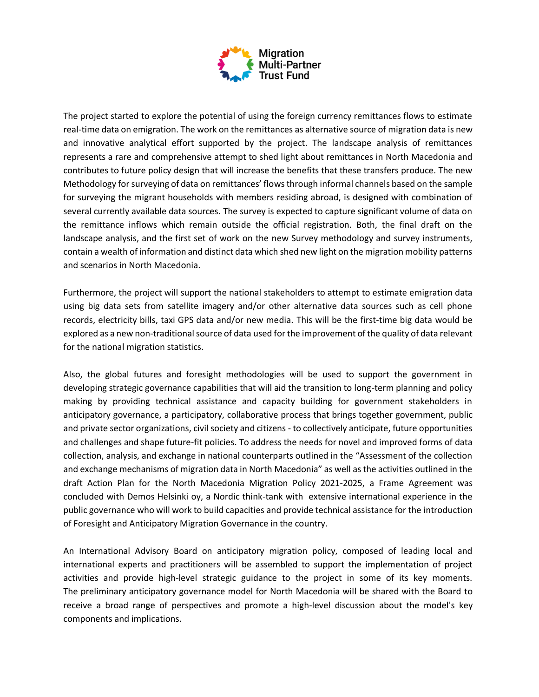

The project started to explore the potential of using the foreign currency remittances flows to estimate real-time data on emigration. The work on the remittances as alternative source of migration data is new and innovative analytical effort supported by the project. The landscape analysis of remittances represents a rare and comprehensive attempt to shed light about remittances in North Macedonia and contributes to future policy design that will increase the benefits that these transfers produce. The new Methodology for surveying of data on remittances' flows through informal channels based on the sample for surveying the migrant households with members residing abroad, is designed with combination of several currently available data sources. The survey is expected to capture significant volume of data on the remittance inflows which remain outside the official registration. Both, the final draft on the landscape analysis, and the first set of work on the new Survey methodology and survey instruments, contain a wealth of information and distinct data which shed new light on the migration mobility patterns and scenarios in North Macedonia.

Furthermore, the project will support the national stakeholders to attempt to estimate emigration data using big data sets from satellite imagery and/or other alternative data sources such as cell phone records, electricity bills, taxi GPS data and/or new media. This will be the first-time big data would be explored as a new non-traditional source of data used for the improvement of the quality of data relevant for the national migration statistics.

Also, the global futures and foresight methodologies will be used to support the government in developing strategic governance capabilities that will aid the transition to long-term planning and policy making by providing technical assistance and capacity building for government stakeholders in anticipatory governance, a participatory, collaborative process that brings together government, public and private sector organizations, civil society and citizens - to collectively anticipate, future opportunities and challenges and shape future-fit policies. To address the needs for novel and improved forms of data collection, analysis, and exchange in national counterparts outlined in the "Assessment of the collection and exchange mechanisms of migration data in North Macedonia" as well as the activities outlined in the draft Action Plan for the North Macedonia Migration Policy 2021-2025, a Frame Agreement was concluded with Demos Helsinki oy, a Nordic think-tank with extensive international experience in the public governance who will work to build capacities and provide technical assistance for the introduction of Foresight and Anticipatory Migration Governance in the country.

An International Advisory Board on anticipatory migration policy, composed of leading local and international experts and practitioners will be assembled to support the implementation of project activities and provide high-level strategic guidance to the project in some of its key moments. The preliminary anticipatory governance model for North Macedonia will be shared with the Board to receive a broad range of perspectives and promote a high-level discussion about the model's key components and implications.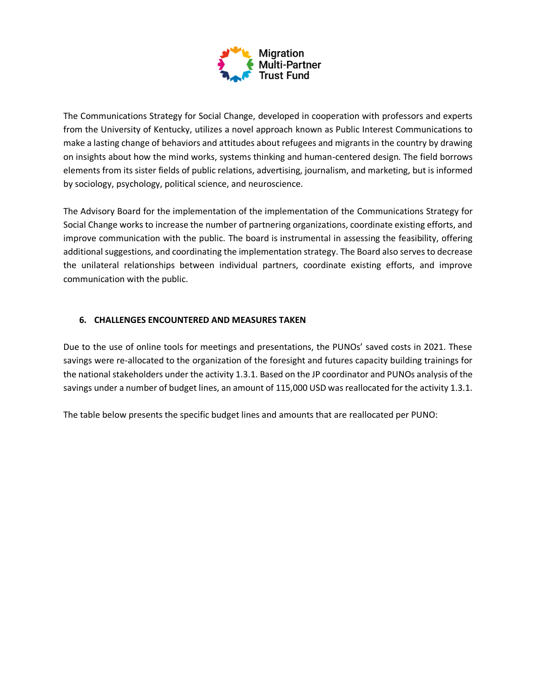

The Communications Strategy for Social Change, developed in cooperation with professors and experts from the University of Kentucky, utilizes a novel approach known as Public Interest Communications to make a lasting change of behaviors and attitudes about refugees and migrants in the country by drawing on insights about how the mind works, systems thinking and human-centered design. The field borrows elements from its sister fields of public relations, advertising, journalism, and marketing, but is informed by sociology, psychology, political science, and neuroscience.

The Advisory Board for the implementation of the implementation of the Communications Strategy for Social Change works to increase the number of partnering organizations, coordinate existing efforts, and improve communication with the public. The board is instrumental in assessing the feasibility, offering additional suggestions, and coordinating the implementation strategy. The Board also serves to decrease the unilateral relationships between individual partners, coordinate existing efforts, and improve communication with the public.

### **6. CHALLENGES ENCOUNTERED AND MEASURES TAKEN**

Due to the use of online tools for meetings and presentations, the PUNOs' saved costs in 2021. These savings were re-allocated to the organization of the foresight and futures capacity building trainings for the national stakeholders under the activity 1.3.1. Based on the JP coordinator and PUNOs analysis of the savings under a number of budget lines, an amount of 115,000 USD was reallocated for the activity 1.3.1.

The table below presents the specific budget lines and amounts that are reallocated per PUNO: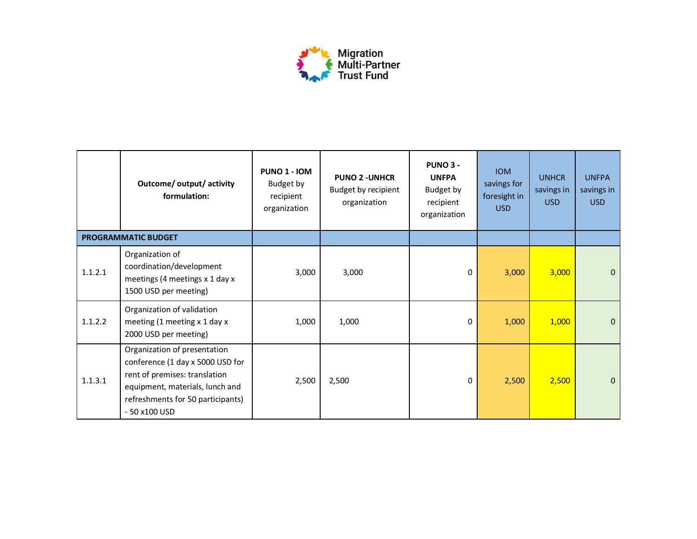

|         | Outcome/ output/ activity<br>formulation:                                                                                                                                                  | <b>PUNO 1 - IOM</b><br>Budget by<br>recipient<br>organization | <b>PUNO 2 - UNHCR</b><br>Budget by recipient<br>organization | <b>PUNO 3 -</b><br><b>UNFPA</b><br>Budget by<br>recipient<br>organization | <b>IOM</b><br>savings for<br>foresight in<br>USD | <b>UNHCR</b><br>savings in<br>USD | <b>UNFPA</b><br>savings in<br><b>USD</b> |
|---------|--------------------------------------------------------------------------------------------------------------------------------------------------------------------------------------------|---------------------------------------------------------------|--------------------------------------------------------------|---------------------------------------------------------------------------|--------------------------------------------------|-----------------------------------|------------------------------------------|
|         | <b>PROGRAMMATIC BUDGET</b>                                                                                                                                                                 |                                                               |                                                              |                                                                           |                                                  |                                   |                                          |
| 1.1.2.1 | Organization of<br>coordination/development<br>meetings (4 meetings x 1 day x<br>1500 USD per meeting)                                                                                     | 3,000                                                         | 3,000                                                        | 0                                                                         | 3,000                                            | 3,000                             | 0                                        |
| 1.1.2.2 | Organization of validation<br>meeting (1 meeting x 1 day x<br>2000 USD per meeting)                                                                                                        | 1,000                                                         | 1,000                                                        | 0                                                                         | 1,000                                            | 1,000                             | 0                                        |
| 1.1.3.1 | Organization of presentation<br>conference (1 day x 5000 USD for<br>rent of premises: translation<br>equipment, materials, lunch and<br>refreshments for 50 participants)<br>- 50 x100 USD | 2,500                                                         | 2,500                                                        | 0                                                                         | 2,500                                            | 2,500                             | $\Omega$                                 |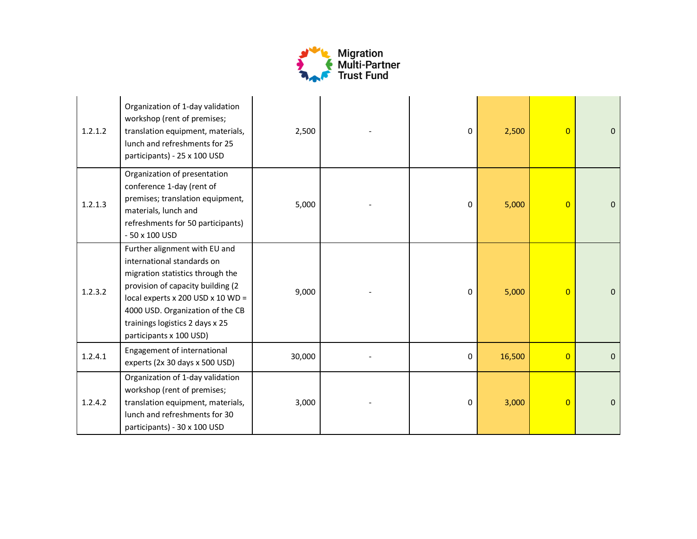

| 1.2.1.2 | Organization of 1-day validation<br>workshop (rent of premises;<br>translation equipment, materials,<br>lunch and refreshments for 25<br>participants) - 25 x 100 USD                                                                                                           | 2,500  | 0 | 2,500  | $\overline{0}$ | $\mathbf{0}$ |
|---------|---------------------------------------------------------------------------------------------------------------------------------------------------------------------------------------------------------------------------------------------------------------------------------|--------|---|--------|----------------|--------------|
| 1.2.1.3 | Organization of presentation<br>conference 1-day (rent of<br>premises; translation equipment,<br>materials, lunch and<br>refreshments for 50 participants)<br>- 50 x 100 USD                                                                                                    | 5,000  | 0 | 5,000  | $\overline{0}$ | $\mathbf{0}$ |
| 1.2.3.2 | Further alignment with EU and<br>international standards on<br>migration statistics through the<br>provision of capacity building (2<br>local experts $x$ 200 USD $x$ 10 WD =<br>4000 USD. Organization of the CB<br>trainings logistics 2 days x 25<br>participants x 100 USD) | 9,000  | 0 | 5,000  | $\overline{0}$ | $\Omega$     |
| 1.2.4.1 | Engagement of international<br>experts (2x 30 days x 500 USD)                                                                                                                                                                                                                   | 30,000 | 0 | 16,500 | $\overline{0}$ | $\mathbf{0}$ |
| 1.2.4.2 | Organization of 1-day validation<br>workshop (rent of premises;<br>translation equipment, materials,<br>lunch and refreshments for 30<br>participants) - 30 x 100 USD                                                                                                           | 3,000  | 0 | 3,000  | $\overline{0}$ | $\mathbf{0}$ |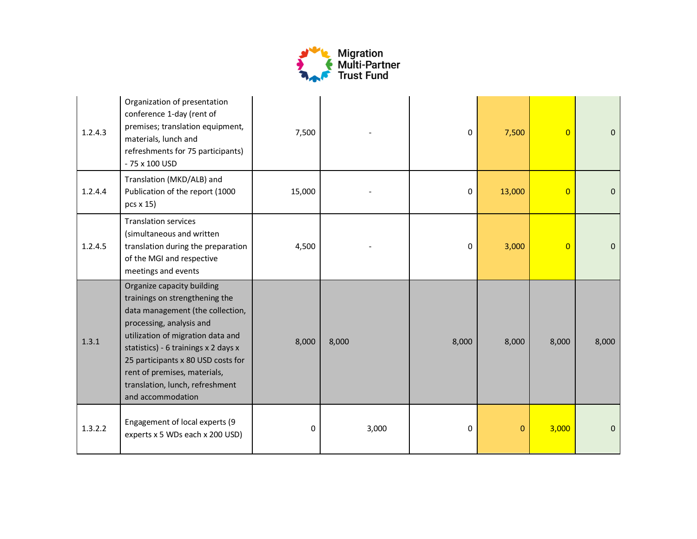

| 1.2.4.3 | Organization of presentation<br>conference 1-day (rent of<br>premises; translation equipment,<br>materials, lunch and<br>refreshments for 75 participants)<br>- 75 x 100 USD                                                                                                                                                            | 7,500  |       | 0     | 7,500       | $\overline{0}$ | $\mathbf 0$ |
|---------|-----------------------------------------------------------------------------------------------------------------------------------------------------------------------------------------------------------------------------------------------------------------------------------------------------------------------------------------|--------|-------|-------|-------------|----------------|-------------|
| 1.2.4.4 | Translation (MKD/ALB) and<br>Publication of the report (1000<br>$pcs \times 15$                                                                                                                                                                                                                                                         | 15,000 |       | 0     | 13,000      | $\overline{0}$ | $\Omega$    |
| 1.2.4.5 | <b>Translation services</b><br>(simultaneous and written<br>translation during the preparation<br>of the MGI and respective<br>meetings and events                                                                                                                                                                                      | 4,500  |       | 0     | 3,000       | $\Omega$       | $\mathbf 0$ |
| 1.3.1   | Organize capacity building<br>trainings on strengthening the<br>data management (the collection,<br>processing, analysis and<br>utilization of migration data and<br>statistics) - 6 trainings x 2 days x<br>25 participants x 80 USD costs for<br>rent of premises, materials,<br>translation, lunch, refreshment<br>and accommodation | 8,000  | 8,000 | 8,000 | 8,000       | 8,000          | 8,000       |
| 1.3.2.2 | Engagement of local experts (9<br>experts x 5 WDs each x 200 USD)                                                                                                                                                                                                                                                                       | 0      | 3,000 | 0     | $\mathbf 0$ | 3,000          | 0           |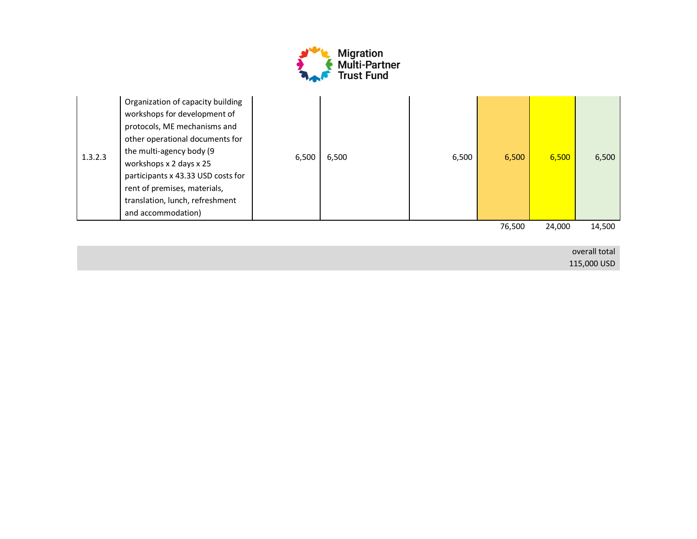

| 1.3.2.3 | Organization of capacity building<br>workshops for development of<br>protocols, ME mechanisms and<br>other operational documents for<br>the multi-agency body (9<br>workshops x 2 days x 25<br>participants x 43.33 USD costs for<br>rent of premises, materials,<br>translation, lunch, refreshment<br>and accommodation) | 6,500 | 6,500 | 6,500 | 6,500  | 6,500  | 6,500  |
|---------|----------------------------------------------------------------------------------------------------------------------------------------------------------------------------------------------------------------------------------------------------------------------------------------------------------------------------|-------|-------|-------|--------|--------|--------|
|         |                                                                                                                                                                                                                                                                                                                            |       |       |       | 76,500 | 24,000 | 14,500 |

overall total 115,000 USD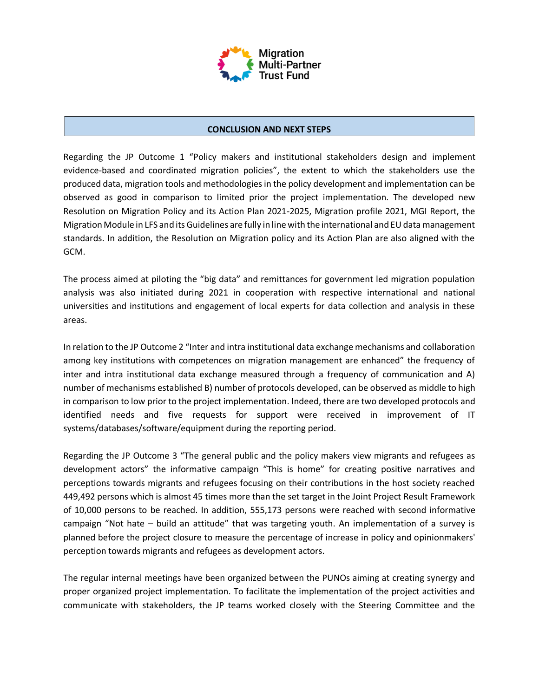

#### **CONCLUSION AND NEXT STEPS**

Regarding the JP Outcome 1 "Policy makers and institutional stakeholders design and implement evidence-based and coordinated migration policies", the extent to which the stakeholders use the produced data, migration tools and methodologies in the policy development and implementation can be observed as good in comparison to limited prior the project implementation. The developed new Resolution on Migration Policy and its Action Plan 2021-2025, Migration profile 2021, MGI Report, the Migration Module in LFS and its Guidelines are fully in line with the international and EU data management standards. In addition, the Resolution on Migration policy and its Action Plan are also aligned with the GCM.

The process aimed at piloting the "big data" and remittances for government led migration population analysis was also initiated during 2021 in cooperation with respective international and national universities and institutions and engagement of local experts for data collection and analysis in these areas.

In relation to the JP Outcome 2 "Inter and intra institutional data exchange mechanisms and collaboration among key institutions with competences on migration management are enhanced" the frequency of inter and intra institutional data exchange measured through a frequency of communication and A) number of mechanisms established B) number of protocols developed, can be observed as middle to high in comparison to low prior to the project implementation. Indeed, there are two developed protocols and identified needs and five requests for support were received in improvement of IT systems/databases/software/equipment during the reporting period.

Regarding the JP Outcome 3 "The general public and the policy makers view migrants and refugees as development actors" the informative campaign "This is home" for creating positive narratives and perceptions towards migrants and refugees focusing on their contributions in the host society reached 449,492 persons which is almost 45 times more than the set target in the Joint Project Result Framework of 10,000 persons to be reached. In addition, 555,173 persons were reached with second informative campaign "Not hate – build an attitude" that was targeting youth. An implementation of a survey is planned before the project closure to measure the percentage of increase in policy and opinionmakers' perception towards migrants and refugees as development actors.

The regular internal meetings have been organized between the PUNOs aiming at creating synergy and proper organized project implementation. To facilitate the implementation of the project activities and communicate with stakeholders, the JP teams worked closely with the Steering Committee and the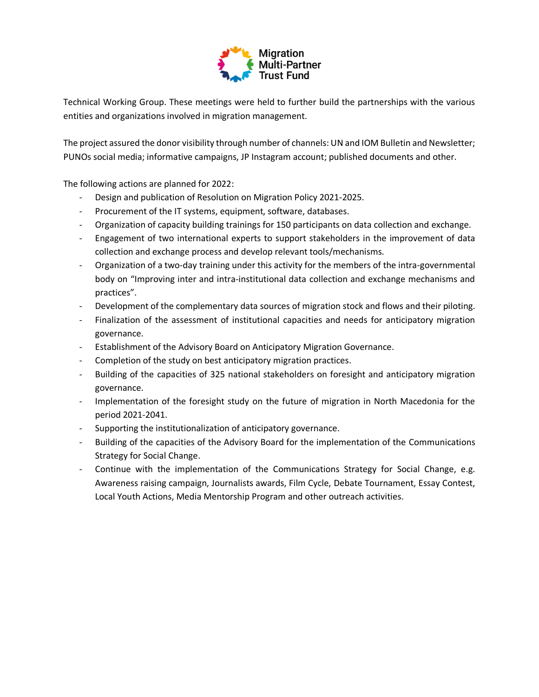

Technical Working Group. These meetings were held to further build the partnerships with the various entities and organizations involved in migration management.

The project assured the donor visibility through number of channels: UN and IOM Bulletin and Newsletter; PUNOs social media; informative campaigns, JP Instagram account; published documents and other.

The following actions are planned for 2022:

- Design and publication of Resolution on Migration Policy 2021-2025.
- Procurement of the IT systems, equipment, software, databases.
- Organization of capacity building trainings for 150 participants on data collection and exchange.
- Engagement of two international experts to support stakeholders in the improvement of data collection and exchange process and develop relevant tools/mechanisms.
- Organization of a two-day training under this activity for the members of the intra-governmental body on "Improving inter and intra-institutional data collection and exchange mechanisms and practices".
- Development of the complementary data sources of migration stock and flows and their piloting.
- Finalization of the assessment of institutional capacities and needs for anticipatory migration governance.
- Establishment of the Advisory Board on Anticipatory Migration Governance.
- Completion of the study on best anticipatory migration practices.
- Building of the capacities of 325 national stakeholders on foresight and anticipatory migration governance.
- Implementation of the foresight study on the future of migration in North Macedonia for the period 2021-2041.
- Supporting the institutionalization of anticipatory governance.
- Building of the capacities of the Advisory Board for the implementation of the Communications Strategy for Social Change.
- Continue with the implementation of the Communications Strategy for Social Change, e.g. Awareness raising campaign, Journalists awards, Film Cycle, Debate Tournament, Essay Contest, Local Youth Actions, Media Mentorship Program and other outreach activities.